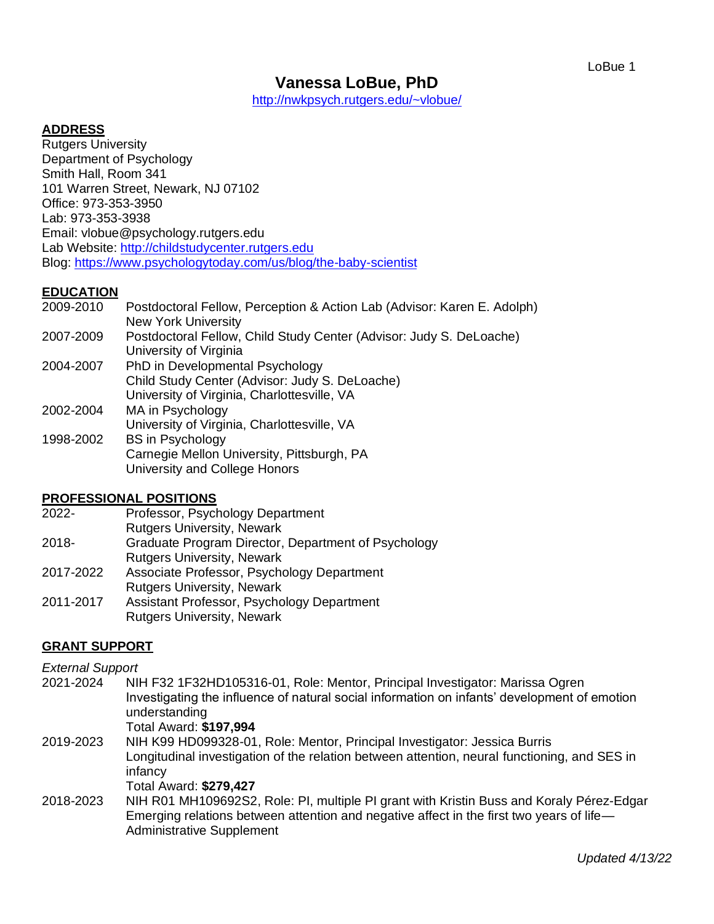<http://nwkpsych.rutgers.edu/~vlobue/>

### **ADDRESS**

Rutgers University Department of Psychology Smith Hall, Room 341 101 Warren Street, Newark, NJ 07102 Office: 973-353-3950 Lab: 973-353-3938 Email: vlobue@psychology.rutgers.edu Lab Website: [http://childstudycenter.rutgers.edu](http://childstudycenter.rutgers.edu/) Blog:<https://www.psychologytoday.com/us/blog/the-baby-scientist>

#### **EDUCATION**

| Postdoctoral Fellow, Perception & Action Lab (Advisor: Karen E. Adolph)<br><b>New York University</b> |
|-------------------------------------------------------------------------------------------------------|
| Postdoctoral Fellow, Child Study Center (Advisor: Judy S. DeLoache)<br>University of Virginia         |
| PhD in Developmental Psychology                                                                       |
| Child Study Center (Advisor: Judy S. DeLoache)                                                        |
| University of Virginia, Charlottesville, VA                                                           |
| MA in Psychology                                                                                      |
| University of Virginia, Charlottesville, VA                                                           |
| <b>BS</b> in Psychology                                                                               |
| Carnegie Mellon University, Pittsburgh, PA                                                            |
| University and College Honors                                                                         |
|                                                                                                       |

#### **PROFESSIONAL POSITIONS**

- 2022- Professor, Psychology Department
	- Rutgers University, Newark
- 2018- Graduate Program Director, Department of Psychology Rutgers University, Newark
- 2017-2022 Associate Professor, Psychology Department Rutgers University, Newark
- 2011-2017 Assistant Professor, Psychology Department Rutgers University, Newark

### **GRANT SUPPORT**

#### *External Support*

2021-2024 NIH F32 1F32HD105316-01, Role: Mentor, Principal Investigator: Marissa Ogren Investigating the influence of natural social information on infants' development of emotion understanding

Total Award: **\$197,994**

- 2019-2023 NIH K99 HD099328-01, Role: Mentor, Principal Investigator: Jessica Burris Longitudinal investigation of the relation between attention, neural functioning, and SES in infancy Total Award: **\$279,427**
- 2018-2023 NIH R01 MH109692S2, Role: PI, multiple PI grant with Kristin Buss and Koraly Pérez-Edgar Emerging relations between attention and negative affect in the first two years of life— Administrative Supplement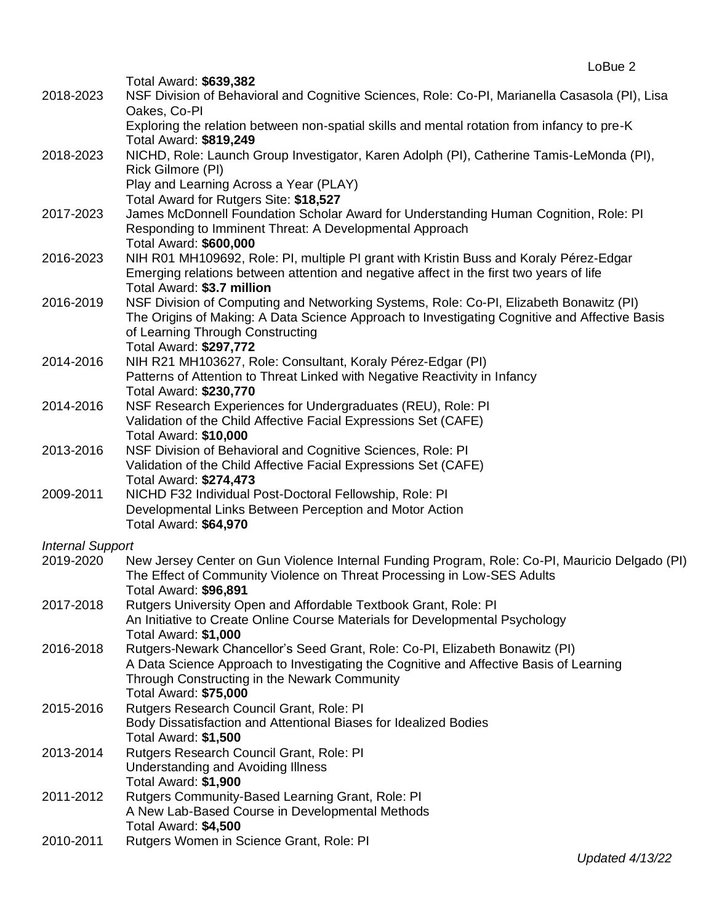|                         | Total Award: \$639,382                                                                                                                                                    |
|-------------------------|---------------------------------------------------------------------------------------------------------------------------------------------------------------------------|
| 2018-2023               | NSF Division of Behavioral and Cognitive Sciences, Role: Co-PI, Marianella Casasola (PI), Lisa<br>Oakes, Co-PI                                                            |
|                         | Exploring the relation between non-spatial skills and mental rotation from infancy to pre-K<br>Total Award: \$819,249                                                     |
| 2018-2023               | NICHD, Role: Launch Group Investigator, Karen Adolph (PI), Catherine Tamis-LeMonda (PI),<br>Rick Gilmore (PI)                                                             |
|                         | Play and Learning Across a Year (PLAY)                                                                                                                                    |
|                         | Total Award for Rutgers Site: \$18,527                                                                                                                                    |
| 2017-2023               | James McDonnell Foundation Scholar Award for Understanding Human Cognition, Role: PI                                                                                      |
|                         | Responding to Imminent Threat: A Developmental Approach<br>Total Award: \$600,000                                                                                         |
| 2016-2023               | NIH R01 MH109692, Role: PI, multiple PI grant with Kristin Buss and Koraly Pérez-Edgar                                                                                    |
|                         | Emerging relations between attention and negative affect in the first two years of life<br>Total Award: \$3.7 million                                                     |
| 2016-2019               | NSF Division of Computing and Networking Systems, Role: Co-PI, Elizabeth Bonawitz (PI)                                                                                    |
|                         | The Origins of Making: A Data Science Approach to Investigating Cognitive and Affective Basis                                                                             |
|                         | of Learning Through Constructing                                                                                                                                          |
|                         | Total Award: \$297,772                                                                                                                                                    |
| 2014-2016               | NIH R21 MH103627, Role: Consultant, Koraly Pérez-Edgar (PI)                                                                                                               |
|                         | Patterns of Attention to Threat Linked with Negative Reactivity in Infancy<br>Total Award: \$230,770                                                                      |
| 2014-2016               | NSF Research Experiences for Undergraduates (REU), Role: PI                                                                                                               |
|                         | Validation of the Child Affective Facial Expressions Set (CAFE)                                                                                                           |
|                         | <b>Total Award: \$10,000</b>                                                                                                                                              |
| 2013-2016               | NSF Division of Behavioral and Cognitive Sciences, Role: PI                                                                                                               |
|                         | Validation of the Child Affective Facial Expressions Set (CAFE)                                                                                                           |
|                         | <b>Total Award: \$274,473</b>                                                                                                                                             |
| 2009-2011               | NICHD F32 Individual Post-Doctoral Fellowship, Role: PI                                                                                                                   |
|                         | Developmental Links Between Perception and Motor Action                                                                                                                   |
|                         | <b>Total Award: \$64,970</b>                                                                                                                                              |
| <b>Internal Support</b> |                                                                                                                                                                           |
| 2019-2020               | New Jersey Center on Gun Violence Internal Funding Program, Role: Co-PI, Mauricio Delgado (PI)<br>The Effect of Community Violence on Threat Processing in Low-SES Adults |
|                         | Total Award: \$96,891                                                                                                                                                     |
| 2017-2018<br>2016-2018  | Rutgers University Open and Affordable Textbook Grant, Role: PI                                                                                                           |
|                         | An Initiative to Create Online Course Materials for Developmental Psychology                                                                                              |
|                         | Total Award: \$1,000<br>Rutgers-Newark Chancellor's Seed Grant, Role: Co-PI, Elizabeth Bonawitz (PI)                                                                      |
|                         | A Data Science Approach to Investigating the Cognitive and Affective Basis of Learning                                                                                    |
|                         | Through Constructing in the Newark Community                                                                                                                              |
|                         | <b>Total Award: \$75,000</b>                                                                                                                                              |
| 2015-2016               | Rutgers Research Council Grant, Role: PI                                                                                                                                  |
|                         | Body Dissatisfaction and Attentional Biases for Idealized Bodies                                                                                                          |
|                         | <b>Total Award: \$1,500</b>                                                                                                                                               |
| 2013-2014<br>2011-2012  | Rutgers Research Council Grant, Role: PI                                                                                                                                  |
|                         | <b>Understanding and Avoiding Illness</b>                                                                                                                                 |
|                         | Total Award: \$1,900<br>Rutgers Community-Based Learning Grant, Role: PI                                                                                                  |
|                         | A New Lab-Based Course in Developmental Methods                                                                                                                           |
|                         | Total Award: \$4,500                                                                                                                                                      |
| 2010-2011               | Rutgers Women in Science Grant, Role: PI                                                                                                                                  |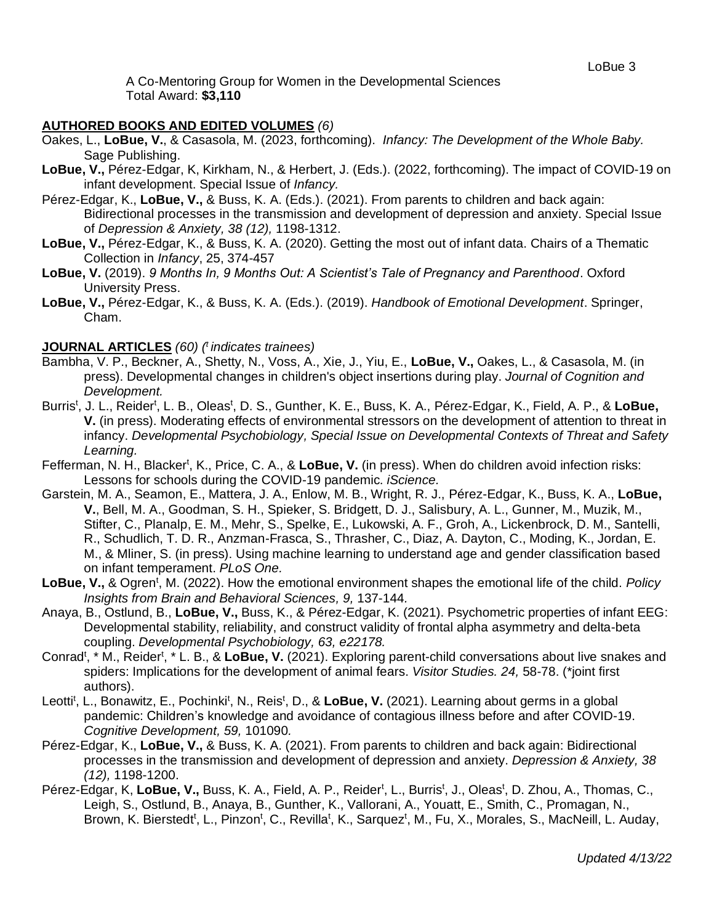A Co-Mentoring Group for Women in the Developmental Sciences Total Award: **\$3,110**

## **AUTHORED BOOKS AND EDITED VOLUMES** *(6)*

- Oakes, L., **LoBue, V.**, & Casasola, M. (2023, forthcoming). *Infancy: The Development of the Whole Baby.*  Sage Publishing.
- **LoBue, V.,** Pérez-Edgar, K, Kirkham, N., & Herbert, J. (Eds.). (2022, forthcoming). The impact of COVID-19 on infant development. Special Issue of *Infancy.*
- Pérez-Edgar, K., **LoBue, V.,** & Buss, K. A. (Eds.). (2021). From parents to children and back again: Bidirectional processes in the transmission and development of depression and anxiety. Special Issue of *Depression & Anxiety, 38 (12),* 1198-1312.
- **LoBue, V.,** Pérez-Edgar, K., & Buss, K. A. (2020). Getting the most out of infant data. Chairs of a Thematic Collection in *Infancy*, 25, 374-457
- **LoBue, V.** (2019). *9 Months In, 9 Months Out: A Scientist's Tale of Pregnancy and Parenthood*. Oxford University Press.
- **LoBue, V.,** Pérez-Edgar, K., & Buss, K. A. (Eds.). (2019). *Handbook of Emotional Development*. Springer, Cham.

### **JOURNAL ARTICLES** *(60) ( t indicates trainees)*

- Bambha, V. P., Beckner, A., Shetty, N., Voss, A., Xie, J., Yiu, E., **LoBue, V.,** Oakes, L., & Casasola, M. (in press). Developmental changes in children's object insertions during play. *Journal of Cognition and Development.*
- Burris<sup>t</sup>, J. L., Reider<sup>t</sup>, L. B., Oleas<sup>t</sup>, D. S., Gunther, K. E., Buss, K. A., Pérez-Edgar, K., Field, A. P., & LoBue, **V.** (in press). Moderating effects of environmental stressors on the development of attention to threat in infancy. *Developmental Psychobiology, Special Issue on Developmental Contexts of Threat and Safety Learning.*
- Fefferman, N. H., Blacker<sup>t</sup>, K., Price, C. A., & LoBue, V. (in press). When do children avoid infection risks: Lessons for schools during the COVID-19 pandemic. *iScience.*
- Garstein, M. A., Seamon, E., Mattera, J. A., Enlow, M. B., Wright, R. J., Pérez-Edgar, K., Buss, K. A., **LoBue, V.**, Bell, M. A., Goodman, S. H., Spieker, S. Bridgett, D. J., Salisbury, A. L., Gunner, M., Muzik, M., Stifter, C., Planalp, E. M., Mehr, S., Spelke, E., Lukowski, A. F., Groh, A., Lickenbrock, D. M., Santelli, R., Schudlich, T. D. R., Anzman-Frasca, S., Thrasher, C., Diaz, A. Dayton, C., Moding, K., Jordan, E. M., & Mliner, S. (in press). Using machine learning to understand age and gender classification based on infant temperament. *PLoS One.*
- LoBue, V., & Ogren<sup>t</sup>, M. (2022). How the emotional environment shapes the emotional life of the child. *Policy Insights from Brain and Behavioral Sciences, 9,* 137-144*.*
- Anaya, B., Ostlund, B., **LoBue, V.,** Buss, K., & Pérez-Edgar, K. (2021). Psychometric properties of infant EEG: Developmental stability, reliability, and construct validity of frontal alpha asymmetry and delta-beta coupling. *Developmental Psychobiology, 63, e22178.*
- Conrad<sup>t</sup>, \* M., Reider<sup>t</sup>, \* L. B., & LoBue, V. (2021). Exploring parent-child conversations about live snakes and spiders: Implications for the development of animal fears. *Visitor Studies. 24,* 58-78. (\*joint first authors).
- Leotti<sup>t</sup>, L., Bonawitz, E., Pochinki<sup>t</sup>, N., Reis<sup>t</sup>, D., & LoBue, V. (2021). Learning about germs in a global pandemic: Children's knowledge and avoidance of contagious illness before and after COVID-19. *Cognitive Development, 59,* 101090*.*
- Pérez-Edgar, K., **LoBue, V.,** & Buss, K. A. (2021). From parents to children and back again: Bidirectional processes in the transmission and development of depression and anxiety. *Depression & Anxiety, 38 (12),* 1198-1200.
- Pérez-Edgar, K, LoBue, V., Buss, K. A., Field, A. P., Reider<sup>t</sup>, L., Burris<sup>t</sup>, J., Oleas<sup>t</sup>, D. Zhou, A., Thomas, C., Leigh, S., Ostlund, B., Anaya, B., Gunther, K., Vallorani, A., Youatt, E., Smith, C., Promagan, N., Brown, K. Bierstedt<sup>t</sup>, L., Pinzon<sup>t</sup>, C., Revilla<sup>t</sup>, K., Sarquez<sup>t</sup>, M., Fu, X., Morales, S., MacNeill, L. Auday,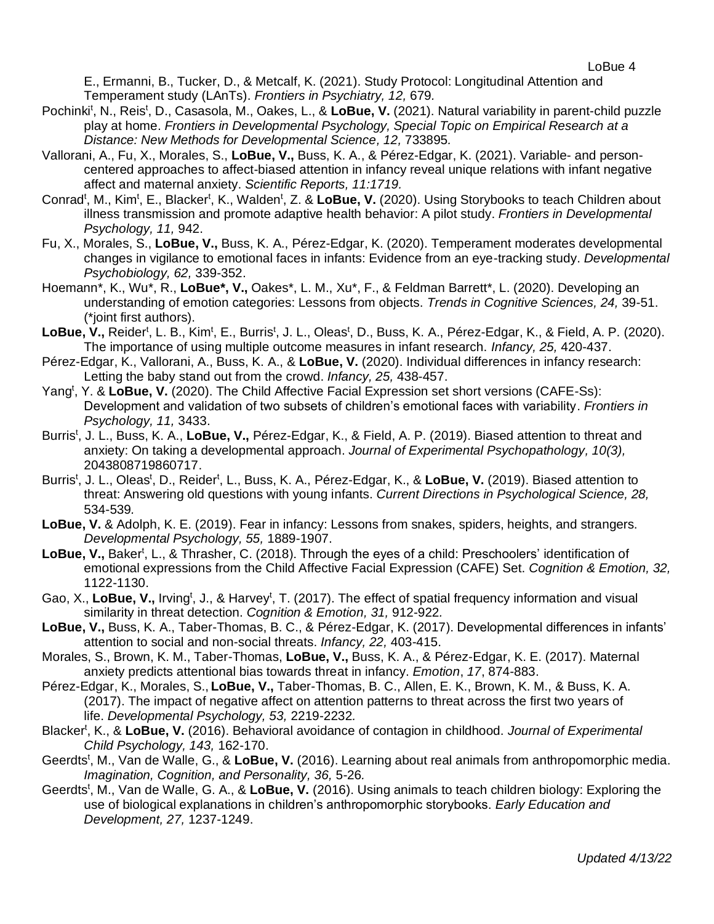E., Ermanni, B., Tucker, D., & Metcalf, K. (2021). Study Protocol: Longitudinal Attention and Temperament study (LAnTs). *Frontiers in Psychiatry, 12,* 679*.*

- Pochinki<sup>t</sup>, N., Reis<sup>t</sup>, D., Casasola, M., Oakes, L., & LoBue, V. (2021). Natural variability in parent-child puzzle play at home. *Frontiers in Developmental Psychology, Special Topic on Empirical Research at a Distance: New Methods for Developmental Science, 12,* 733895*.*
- Vallorani, A., Fu, X., Morales, S., **LoBue, V.,** Buss, K. A., & Pérez-Edgar, K. (2021). Variable- and personcentered approaches to affect-biased attention in infancy reveal unique relations with infant negative affect and maternal anxiety. *Scientific Reports, 11:1719.*
- Conrad<sup>t</sup>, M., Kim<sup>t</sup>, E., Blacker<sup>t</sup>, K., Walden<sup>t</sup>, Z. & LoBue, V. (2020). Using Storybooks to teach Children about illness transmission and promote adaptive health behavior: A pilot study. *Frontiers in Developmental Psychology, 11,* 942.
- Fu, X., Morales, S., **LoBue, V.,** Buss, K. A., Pérez-Edgar, K. (2020). Temperament moderates developmental changes in vigilance to emotional faces in infants: Evidence from an eye-tracking study. *Developmental Psychobiology, 62,* 339-352.
- Hoemann\*, K., Wu\*, R., **LoBue\*, V.,** Oakes\*, L. M., Xu\*, F., & Feldman Barrett\*, L. (2020). Developing an understanding of emotion categories: Lessons from objects. *Trends in Cognitive Sciences, 24,* 39-51. (\*joint first authors).
- LoBue, V., Reider<sup>t</sup>, L. B., Kim<sup>t</sup>, E., Burris<sup>t</sup>, J. L., Oleas<sup>t</sup>, D., Buss, K. A., Pérez-Edgar, K., & Field, A. P. (2020). The importance of using multiple outcome measures in infant research. *Infancy, 25,* 420-437.
- Pérez-Edgar, K., Vallorani, A., Buss, K. A., & **LoBue, V.** (2020). Individual differences in infancy research: Letting the baby stand out from the crowd. *Infancy, 25,* 438-457.
- Yang<sup>t</sup>, Y. & LoBue, V. (2020). The Child Affective Facial Expression set short versions (CAFE-Ss): Development and validation of two subsets of children's emotional faces with variability. *Frontiers in Psychology, 11,* 3433.
- Burris<sup>t</sup>, J. L., Buss, K. A., LoBue, V., Pérez-Edgar, K., & Field, A. P. (2019). Biased attention to threat and anxiety: On taking a developmental approach. *Journal of Experimental Psychopathology, 10(3),*  2043808719860717.
- Burris<sup>t</sup>, J. L., Oleas<sup>t</sup>, D., Reider<sup>t</sup>, L., Buss, K. A., Pérez-Edgar, K., & LoBue, V. (2019). Biased attention to threat: Answering old questions with young infants. *Current Directions in Psychological Science, 28,* 534-539*.*
- **LoBue, V.** & Adolph, K. E. (2019). Fear in infancy: Lessons from snakes, spiders, heights, and strangers. *Developmental Psychology, 55,* 1889-1907.
- LoBue, V., Baker<sup>t</sup>, L., & Thrasher, C. (2018). Through the eyes of a child: Preschoolers' identification of emotional expressions from the Child Affective Facial Expression (CAFE) Set. *Cognition & Emotion, 32,*  1122-1130.
- Gao, X., LoBue, V., Irving<sup>t</sup>, J., & Harvey<sup>t</sup>, T. (2017). The effect of spatial frequency information and visual similarity in threat detection. *Cognition & Emotion, 31,* 912-922*.*
- **LoBue, V.,** Buss, K. A., Taber-Thomas, B. C., & Pérez-Edgar, K. (2017). Developmental differences in infants' attention to social and non-social threats. *Infancy, 22,* 403-415.
- Morales, S., Brown, K. M., Taber-Thomas, **LoBue, V.,** Buss, K. A., & Pérez-Edgar, K. E. (2017). Maternal anxiety predicts attentional bias towards threat in infancy. *Emotion*, *17*, 874-883.
- Pérez-Edgar, K., Morales, S., **LoBue, V.,** Taber-Thomas, B. C., Allen, E. K., Brown, K. M., & Buss, K. A. (2017). The impact of negative affect on attention patterns to threat across the first two years of life. *Developmental Psychology, 53,* 2219-2232*.*
- Blacker<sup>t</sup>, K., & LoBue, V. (2016). Behavioral avoidance of contagion in childhood. Journal of Experimental *Child Psychology, 143,* 162-170.
- Geerdts<sup>t</sup>, M., Van de Walle, G., & LoBue, V. (2016). Learning about real animals from anthropomorphic media. *Imagination, Cognition, and Personality, 36,* 5-26*.*
- Geerdts<sup>t</sup>, M., Van de Walle, G. A., & LoBue, V. (2016). Using animals to teach children biology: Exploring the use of biological explanations in children's anthropomorphic storybooks. *Early Education and Development, 27,* 1237-1249.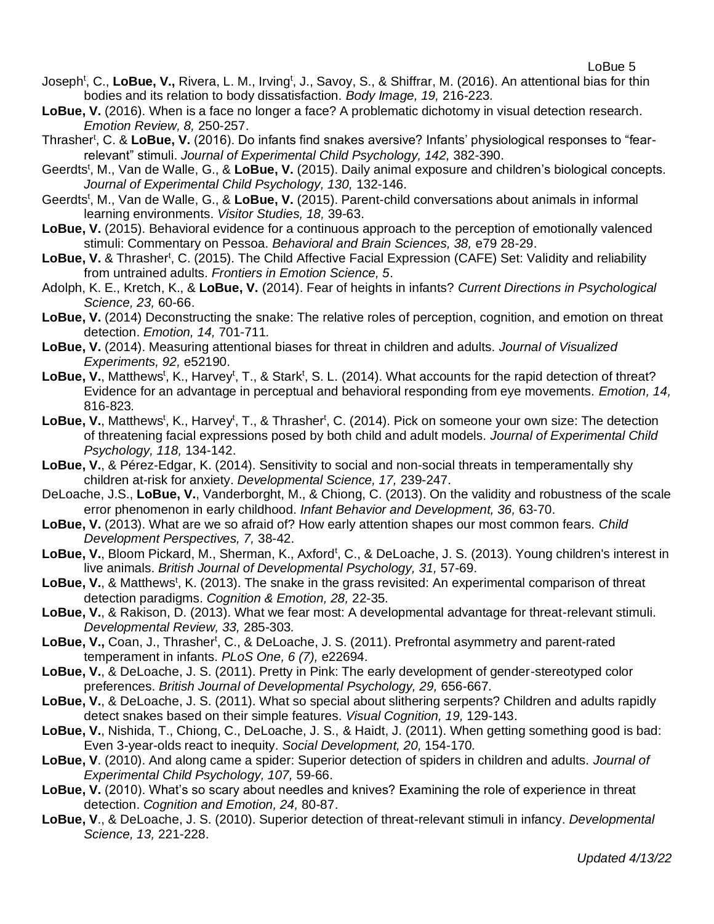- Joseph<sup>t</sup>, C., LoBue, V., Rivera, L. M., Irving<sup>t</sup>, J., Savoy, S., & Shiffrar, M. (2016). An attentional bias for thin bodies and its relation to body dissatisfaction. *Body Image, 19,* 216-223*.*
- LoBue, V. (2016). When is a face no longer a face? A problematic dichotomy in visual detection research. *Emotion Review, 8,* 250-257.
- Thrasher<sup>t</sup>, C. & LoBue, V. (2016). Do infants find snakes aversive? Infants' physiological responses to "fearrelevant" stimuli. *Journal of Experimental Child Psychology, 142,* 382-390.
- Geerdts<sup>t</sup>, M., Van de Walle, G., & LoBue, V. (2015). Daily animal exposure and children's biological concepts. *Journal of Experimental Child Psychology, 130,* 132-146.
- Geerdts<sup>t</sup>, M., Van de Walle, G., & LoBue, V. (2015). Parent-child conversations about animals in informal learning environments. *Visitor Studies, 18,* 39-63.
- **LoBue, V.** (2015). Behavioral evidence for a continuous approach to the perception of emotionally valenced stimuli: Commentary on Pessoa. *Behavioral and Brain Sciences, 38,* e79 28-29.
- LoBue, V. & Thrasher<sup>t</sup>, C. (2015). The Child Affective Facial Expression (CAFE) Set: Validity and reliability from untrained adults. *Frontiers in Emotion Science, 5*.
- Adolph, K. E., Kretch, K., & **LoBue, V.** (2014). Fear of heights in infants? *Current Directions in Psychological Science, 23,* 60-66.
- **LoBue, V.** (2014) Deconstructing the snake: The relative roles of perception, cognition, and emotion on threat detection. *Emotion, 14,* 701-711*.*
- **LoBue, V.** (2014). Measuring attentional biases for threat in children and adults. *Journal of Visualized Experiments, 92,* e52190.
- LoBue, V., Matthews<sup>t</sup>, K., Harvey<sup>t</sup>, T., & Stark<sup>t</sup>, S. L. (2014). What accounts for the rapid detection of threat? Evidence for an advantage in perceptual and behavioral responding from eye movements. *Emotion, 14,*  816-823*.*
- LoBue, V., Matthews<sup>t</sup>, K., Harvey<sup>t</sup>, T., & Thrasher<sup>t</sup>, C. (2014). Pick on someone your own size: The detection of threatening facial expressions posed by both child and adult models. *Journal of Experimental Child Psychology, 118,* 134-142.
- **LoBue, V.**, & Pérez-Edgar, K. (2014). Sensitivity to social and non-social threats in temperamentally shy children at-risk for anxiety. *Developmental Science, 17,* 239-247.
- DeLoache, J.S., **LoBue, V.**, Vanderborght, M., & Chiong, C. (2013). On the validity and robustness of the scale error phenomenon in early childhood. *Infant Behavior and Development, 36,* 63-70.
- **LoBue, V.** (2013). What are we so afraid of? How early attention shapes our most common fears. *Child Development Perspectives, 7,* 38-42.
- LoBue, V., Bloom Pickard, M., Sherman, K., Axford<sup>t</sup>, C., & DeLoache, J. S. (2013). Young children's interest in live animals. *British Journal of Developmental Psychology, 31,* 57-69.
- LoBue, V., & Matthews<sup>t</sup>, K. (2013). The snake in the grass revisited: An experimental comparison of threat detection paradigms. *Cognition & Emotion, 28,* 22-35*.*
- **LoBue, V.**, & Rakison, D. (2013). What we fear most: A developmental advantage for threat-relevant stimuli. *Developmental Review, 33,* 285-303*.*
- LoBue, V., Coan, J., Thrasher<sup>t</sup>, C., & DeLoache, J. S. (2011). Prefrontal asymmetry and parent-rated temperament in infants. *PLoS One, 6 (7),* e22694.
- **LoBue, V.**, & DeLoache, J. S. (2011). Pretty in Pink: The early development of gender-stereotyped color preferences. *British Journal of Developmental Psychology, 29,* 656-667*.*
- **LoBue, V.**, & DeLoache, J. S. (2011). What so special about slithering serpents? Children and adults rapidly detect snakes based on their simple features. *Visual Cognition, 19,* 129-143.
- **LoBue, V.**, Nishida, T., Chiong, C., DeLoache, J. S., & Haidt, J. (2011). When getting something good is bad: Even 3-year-olds react to inequity. *Social Development, 20,* 154-170*.*
- **LoBue, V**. (2010). And along came a spider: Superior detection of spiders in children and adults. *Journal of Experimental Child Psychology, 107,* 59-66.
- **LoBue, V.** (2010). What's so scary about needles and knives? Examining the role of experience in threat detection. *Cognition and Emotion, 24,* 80-87.
- **LoBue, V**., & DeLoache, J. S. (2010). Superior detection of threat-relevant stimuli in infancy. *Developmental Science, 13,* 221-228.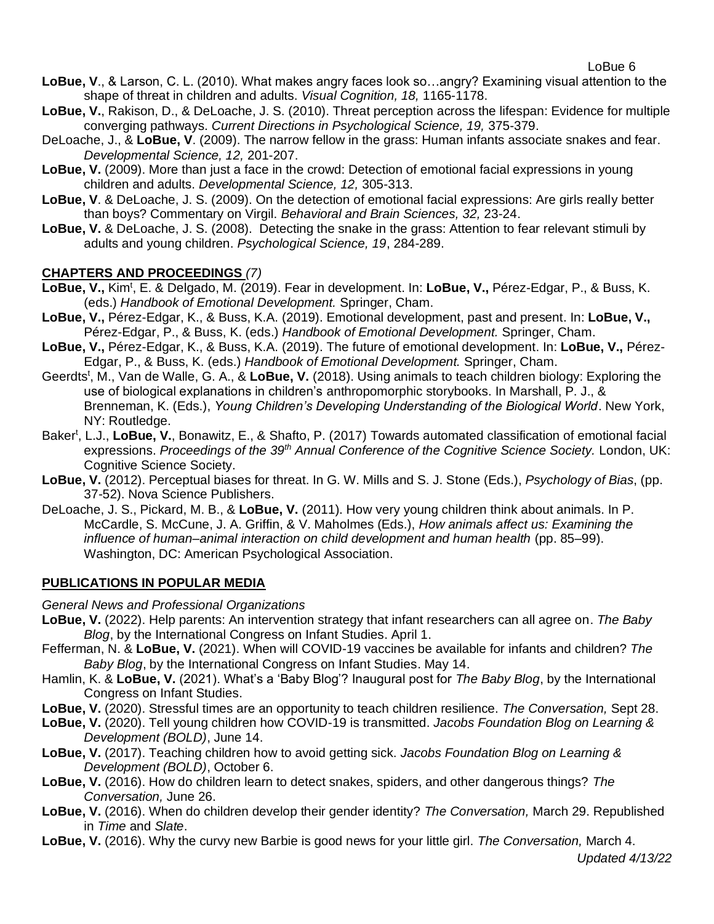- **LoBue, V**., & Larson, C. L. (2010). What makes angry faces look so…angry? Examining visual attention to the shape of threat in children and adults. *Visual Cognition, 18,* 1165-1178.
- **LoBue, V.**, Rakison, D., & DeLoache, J. S. (2010). Threat perception across the lifespan: Evidence for multiple converging pathways. *Current Directions in Psychological Science, 19,* 375-379.
- DeLoache, J., & **LoBue, V**. (2009). The narrow fellow in the grass: Human infants associate snakes and fear. *Developmental Science, 12,* 201-207.
- **LoBue, V.** (2009). More than just a face in the crowd: Detection of emotional facial expressions in young children and adults. *Developmental Science, 12,* 305-313.
- **LoBue, V**. & DeLoache, J. S. (2009). On the detection of emotional facial expressions: Are girls really better than boys? Commentary on Virgil. *Behavioral and Brain Sciences, 32,* 23-24.
- **LoBue, V.** & DeLoache, J. S. (2008). Detecting the snake in the grass: Attention to fear relevant stimuli by adults and young children. *Psychological Science, 19*, 284-289.

# **CHAPTERS AND PROCEEDINGS** *(7)*

- LoBue, V., Kim<sup>t</sup>, E. & Delgado, M. (2019). Fear in development. In: LoBue, V., Pérez-Edgar, P., & Buss, K. (eds.) *Handbook of Emotional Development.* Springer, Cham.
- **LoBue, V.,** Pérez-Edgar, K., & Buss, K.A. (2019). Emotional development, past and present. In: **LoBue, V.,** Pérez-Edgar, P., & Buss, K. (eds.) *Handbook of Emotional Development.* Springer, Cham.
- **LoBue, V.,** Pérez-Edgar, K., & Buss, K.A. (2019). The future of emotional development. In: **LoBue, V.,** Pérez-Edgar, P., & Buss, K. (eds.) *Handbook of Emotional Development.* Springer, Cham.
- Geerdts<sup>t</sup>, M., Van de Walle, G. A., & LoBue, V. (2018). Using animals to teach children biology: Exploring the use of biological explanations in children's anthropomorphic storybooks. In Marshall, P. J., & Brenneman, K. (Eds.), *Young Children's Developing Understanding of the Biological World*. New York, NY: Routledge.
- Baker<sup>t</sup>, L.J., LoBue, V., Bonawitz, E., & Shafto, P. (2017) Towards automated classification of emotional facial expressions. *Proceedings of the 39th Annual Conference of the Cognitive Science Society.* London, UK: Cognitive Science Society.
- **LoBue, V.** (2012). Perceptual biases for threat. In G. W. Mills and S. J. Stone (Eds.), *Psychology of Bias*, (pp. 37-52). Nova Science Publishers.
- DeLoache, J. S., Pickard, M. B., & **LoBue, V.** (2011). How very young children think about animals. In P. McCardle, S. McCune, J. A. Griffin, & V. Maholmes (Eds.), *How animals affect us: Examining the influence of human–animal interaction on child development and human health* (pp. 85–99). Washington, DC: American Psychological Association.

# **PUBLICATIONS IN POPULAR MEDIA**

*General News and Professional Organizations*

- **LoBue, V.** (2022). Help parents: An intervention strategy that infant researchers can all agree on. *The Baby Blog*, by the International Congress on Infant Studies. April 1.
- Fefferman, N. & **LoBue, V.** (2021). When will COVID-19 vaccines be available for infants and children? *The Baby Blog*, by the International Congress on Infant Studies. May 14.
- Hamlin, K. & **LoBue, V.** (2021). What's a 'Baby Blog'? Inaugural post for *The Baby Blog*, by the International Congress on Infant Studies.
- **LoBue, V.** (2020). Stressful times are an opportunity to teach children resilience. *The Conversation,* Sept 28.
- **LoBue, V.** (2020). Tell young children how COVID-19 is transmitted. *Jacobs Foundation Blog on Learning & Development (BOLD)*, June 14.
- **LoBue, V.** (2017). Teaching children how to avoid getting sick. *Jacobs Foundation Blog on Learning & Development (BOLD)*, October 6.
- **LoBue, V.** (2016). How do children learn to detect snakes, spiders, and other dangerous things? *The Conversation,* June 26.
- **LoBue, V.** (2016). When do children develop their gender identity? *The Conversation,* March 29. Republished in *Time* and *Slate*.
- **LoBue, V.** (2016). Why the curvy new Barbie is good news for your little girl. *The Conversation,* March 4.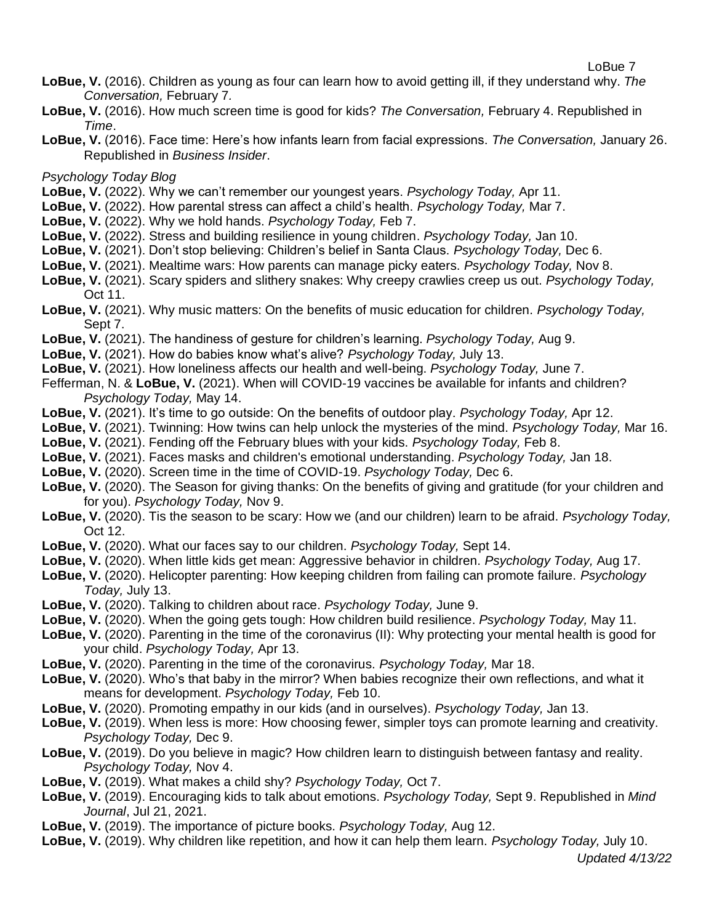- **LoBue, V.** (2016). Children as young as four can learn how to avoid getting ill, if they understand why. *The Conversation,* February 7*.*
- **LoBue, V.** (2016). How much screen time is good for kids? *The Conversation,* February 4. Republished in *Time*.
- **LoBue, V.** (2016). Face time: Here's how infants learn from facial expressions. *The Conversation,* January 26. Republished in *Business Insider*.

*Psychology Today Blog*

- **LoBue, V.** (2022). Why we can't remember our youngest years. *Psychology Today,* Apr 11.
- **LoBue, V.** (2022). How parental stress can affect a child's health. *Psychology Today,* Mar 7.
- **LoBue, V.** (2022). Why we hold hands. *Psychology Today,* Feb 7.
- **LoBue, V.** (2022). Stress and building resilience in young children. *Psychology Today,* Jan 10.
- **LoBue, V.** (2021). Don't stop believing: Children's belief in Santa Claus. *Psychology Today,* Dec 6.
- **LoBue, V.** (2021). Mealtime wars: How parents can manage picky eaters. *Psychology Today,* Nov 8.
- **LoBue, V.** (2021). Scary spiders and slithery snakes: Why creepy crawlies creep us out. *Psychology Today,*  Oct 11.
- **LoBue, V.** (2021). Why music matters: On the benefits of music education for children. *Psychology Today,*  Sept 7.
- **LoBue, V.** (2021). The handiness of gesture for children's learning. *Psychology Today,* Aug 9.
- **LoBue, V.** (2021). How do babies know what's alive? *Psychology Today,* July 13.
- **LoBue, V.** (2021). How loneliness affects our health and well-being. *Psychology Today,* June 7.
- Fefferman, N. & **LoBue, V.** (2021). When will COVID-19 vaccines be available for infants and children? *Psychology Today,* May 14.
- **LoBue, V.** (2021). It's time to go outside: On the benefits of outdoor play. *Psychology Today,* Apr 12.
- **LoBue, V.** (2021). Twinning: How twins can help unlock the mysteries of the mind. *Psychology Today,* Mar 16.
- **LoBue, V.** (2021). Fending off the February blues with your kids. *Psychology Today,* Feb 8.
- **LoBue, V.** (2021). Faces masks and children's emotional understanding. *Psychology Today,* Jan 18.
- **LoBue, V.** (2020). Screen time in the time of COVID-19. *Psychology Today,* Dec 6.
- **LoBue, V.** (2020). The Season for giving thanks: On the benefits of giving and gratitude (for your children and for you). *Psychology Today,* Nov 9.
- **LoBue, V.** (2020). Tis the season to be scary: How we (and our children) learn to be afraid. *Psychology Today,*  Oct 12.
- **LoBue, V.** (2020). What our faces say to our children. *Psychology Today,* Sept 14.
- **LoBue, V.** (2020). When little kids get mean: Aggressive behavior in children. *Psychology Today,* Aug 17.
- **LoBue, V.** (2020). Helicopter parenting: How keeping children from failing can promote failure. *Psychology Today,* July 13.
- **LoBue, V.** (2020). Talking to children about race. *Psychology Today,* June 9.
- **LoBue, V.** (2020). When the going gets tough: How children build resilience. *Psychology Today,* May 11.
- **LoBue, V.** (2020). Parenting in the time of the coronavirus (II): Why protecting your mental health is good for your child. *Psychology Today,* Apr 13.
- **LoBue, V.** (2020). Parenting in the time of the coronavirus. *Psychology Today,* Mar 18.
- LoBue, V. (2020). Who's that baby in the mirror? When babies recognize their own reflections, and what it means for development. *Psychology Today,* Feb 10.
- **LoBue, V.** (2020). Promoting empathy in our kids (and in ourselves). *Psychology Today,* Jan 13.
- **LoBue, V.** (2019). When less is more: How choosing fewer, simpler toys can promote learning and creativity. *Psychology Today,* Dec 9.
- **LoBue, V.** (2019). Do you believe in magic? How children learn to distinguish between fantasy and reality. *Psychology Today,* Nov 4.
- **LoBue, V.** (2019). What makes a child shy? *Psychology Today,* Oct 7.
- **LoBue, V.** (2019). Encouraging kids to talk about emotions. *Psychology Today,* Sept 9. Republished in *Mind Journal*, Jul 21, 2021.
- **LoBue, V.** (2019). The importance of picture books. *Psychology Today,* Aug 12.
- **LoBue, V.** (2019). Why children like repetition, and how it can help them learn. *Psychology Today,* July 10.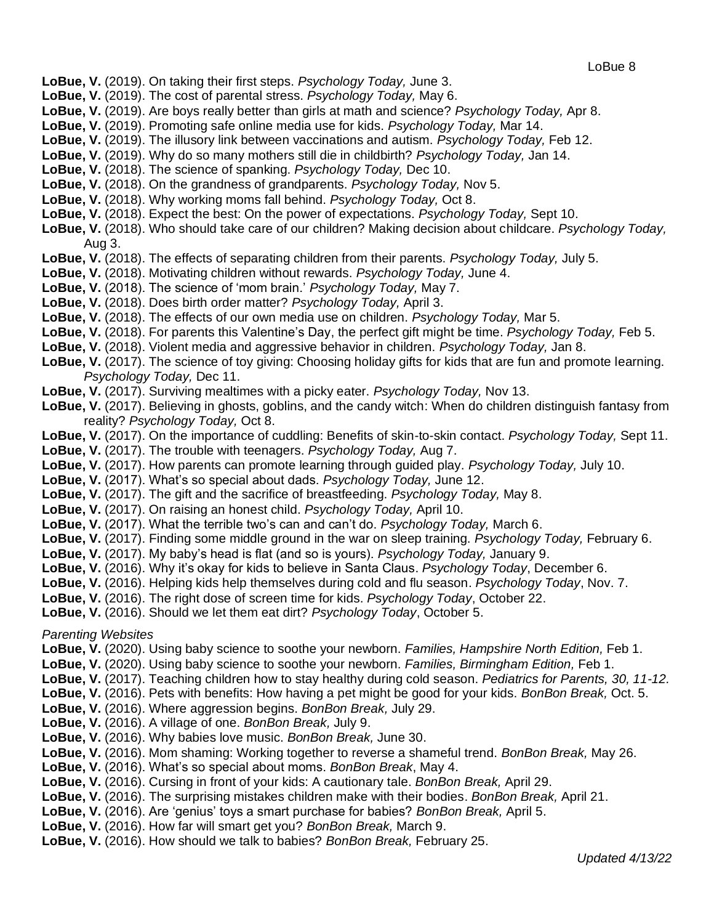- **LoBue, V.** (2019). On taking their first steps. *Psychology Today,* June 3.
- **LoBue, V.** (2019). The cost of parental stress. *Psychology Today,* May 6.
- **LoBue, V.** (2019). Are boys really better than girls at math and science? *Psychology Today,* Apr 8.
- **LoBue, V.** (2019). Promoting safe online media use for kids. *Psychology Today,* Mar 14.
- **LoBue, V.** (2019). The illusory link between vaccinations and autism. *Psychology Today,* Feb 12.
- **LoBue, V.** (2019). Why do so many mothers still die in childbirth? *Psychology Today,* Jan 14.
- **LoBue, V.** (2018). The science of spanking. *Psychology Today,* Dec 10.
- **LoBue, V.** (2018). On the grandness of grandparents. *Psychology Today,* Nov 5.
- **LoBue, V.** (2018). Why working moms fall behind. *Psychology Today,* Oct 8.
- **LoBue, V.** (2018). Expect the best: On the power of expectations. *Psychology Today,* Sept 10.
- **LoBue, V.** (2018). Who should take care of our children? Making decision about childcare. *Psychology Today,*  Aug 3.
- **LoBue, V.** (2018). The effects of separating children from their parents. *Psychology Today,* July 5.
- **LoBue, V.** (2018). Motivating children without rewards. *Psychology Today,* June 4.
- **LoBue, V.** (2018). The science of 'mom brain.' *Psychology Today,* May 7.
- **LoBue, V.** (2018). Does birth order matter? *Psychology Today,* April 3.
- **LoBue, V.** (2018). The effects of our own media use on children. *Psychology Today,* Mar 5.
- **LoBue, V.** (2018). For parents this Valentine's Day, the perfect gift might be time. *Psychology Today,* Feb 5.
- **LoBue, V.** (2018). Violent media and aggressive behavior in children. *Psychology Today,* Jan 8.
- **LoBue, V.** (2017). The science of toy giving: Choosing holiday gifts for kids that are fun and promote learning. *Psychology Today,* Dec 11.
- **LoBue, V.** (2017). Surviving mealtimes with a picky eater. *Psychology Today,* Nov 13.
- **LoBue, V.** (2017). Believing in ghosts, goblins, and the candy witch: When do children distinguish fantasy from reality? *Psychology Today,* Oct 8.
- **LoBue, V.** (2017). On the importance of cuddling: Benefits of skin-to-skin contact. *Psychology Today,* Sept 11.
- **LoBue, V.** (2017). The trouble with teenagers. *Psychology Today,* Aug 7.
- **LoBue, V.** (2017). How parents can promote learning through guided play. *Psychology Today,* July 10.
- **LoBue, V.** (2017). What's so special about dads. *Psychology Today,* June 12.
- **LoBue, V.** (2017). The gift and the sacrifice of breastfeeding. *Psychology Today,* May 8.
- **LoBue, V.** (2017). On raising an honest child. *Psychology Today,* April 10.
- **LoBue, V.** (2017). What the terrible two's can and can't do. *Psychology Today,* March 6.
- **LoBue, V.** (2017). Finding some middle ground in the war on sleep training. *Psychology Today,* February 6.
- **LoBue, V.** (2017). My baby's head is flat (and so is yours). *Psychology Today,* January 9.
- **LoBue, V.** (2016). Why it's okay for kids to believe in Santa Claus. *Psychology Today*, December 6.
- **LoBue, V.** (2016). Helping kids help themselves during cold and flu season. *Psychology Today*, Nov. 7.
- **LoBue, V.** (2016). The right dose of screen time for kids. *Psychology Today*, October 22.
- **LoBue, V.** (2016). Should we let them eat dirt? *Psychology Today*, October 5.

#### *Parenting Websites*

- **LoBue, V.** (2020). Using baby science to soothe your newborn. *Families, Hampshire North Edition,* Feb 1.
- **LoBue, V.** (2020). Using baby science to soothe your newborn. *Families, Birmingham Edition,* Feb 1.
- **LoBue, V.** (2017). Teaching children how to stay healthy during cold season. *Pediatrics for Parents, 30, 11-12.*
- **LoBue, V.** (2016). Pets with benefits: How having a pet might be good for your kids. *BonBon Break,* Oct. 5.
- **LoBue, V.** (2016). Where aggression begins. *BonBon Break,* July 29.
- **LoBue, V.** (2016). A village of one. *BonBon Break,* July 9.
- **LoBue, V.** (2016). Why babies love music. *BonBon Break,* June 30.
- **LoBue, V.** (2016). Mom shaming: Working together to reverse a shameful trend. *BonBon Break,* May 26.
- **LoBue, V.** (2016). What's so special about moms. *BonBon Break*, May 4.
- **LoBue, V.** (2016). Cursing in front of your kids: A cautionary tale. *BonBon Break,* April 29.
- **LoBue, V.** (2016). The surprising mistakes children make with their bodies. *BonBon Break,* April 21.
- **LoBue, V.** (2016). Are 'genius' toys a smart purchase for babies? *BonBon Break,* April 5.
- **LoBue, V.** (2016). How far will smart get you? *BonBon Break,* March 9.
- **LoBue, V.** (2016). How should we talk to babies? *BonBon Break,* February 25.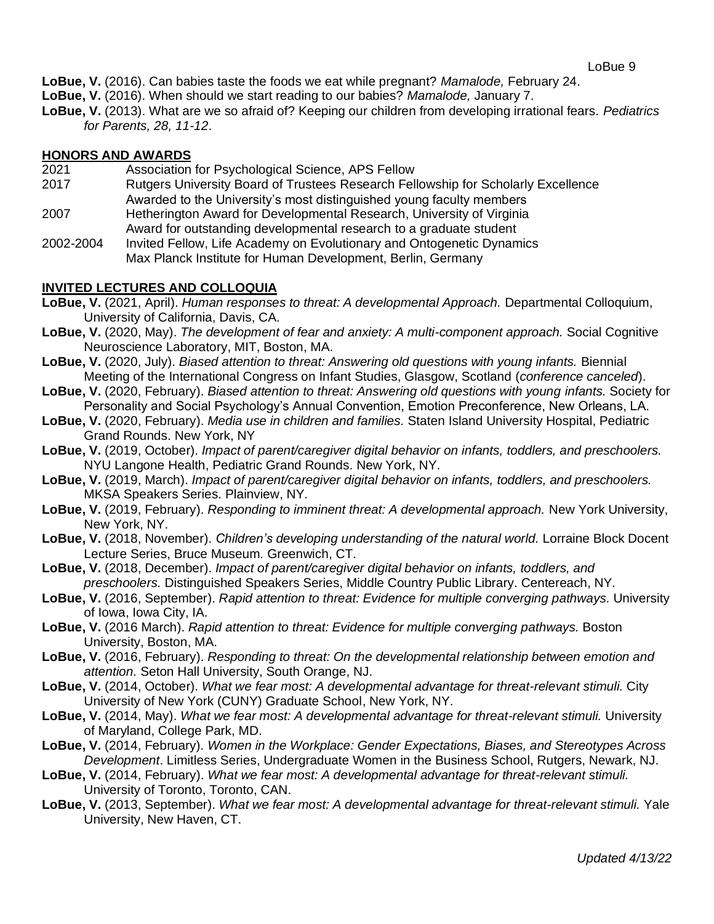- **LoBue, V.** (2016). Can babies taste the foods we eat while pregnant? *Mamalode,* February 24.
- **LoBue, V.** (2016). When should we start reading to our babies? *Mamalode,* January 7.
- **LoBue, V.** (2013). What are we so afraid of? Keeping our children from developing irrational fears. *Pediatrics for Parents, 28, 11-12*.

## **HONORS AND AWARDS**

- 2021 Association for Psychological Science, APS Fellow
- 2017 Rutgers University Board of Trustees Research Fellowship for Scholarly Excellence Awarded to the University's most distinguished young faculty members
- 2007 Hetherington Award for Developmental Research, University of Virginia Award for outstanding developmental research to a graduate student
- 2002-2004 Invited Fellow, Life Academy on Evolutionary and Ontogenetic Dynamics Max Planck Institute for Human Development, Berlin, Germany

### **INVITED LECTURES AND COLLOQUIA**

- **LoBue, V.** (2021, April). *Human responses to threat: A developmental Approach.* Departmental Colloquium, University of California, Davis, CA.
- **LoBue, V.** (2020, May). *The development of fear and anxiety: A multi-component approach.* Social Cognitive Neuroscience Laboratory, MIT, Boston, MA.
- **LoBue, V.** (2020, July). *Biased attention to threat: Answering old questions with young infants.* Biennial Meeting of the International Congress on Infant Studies, Glasgow, Scotland (*conference canceled*).
- **LoBue, V.** (2020, February). *Biased attention to threat: Answering old questions with young infants.* Society for Personality and Social Psychology's Annual Convention, Emotion Preconference, New Orleans, LA.
- **LoBue, V.** (2020, February). *Media use in children and families.* Staten Island University Hospital, Pediatric Grand Rounds. New York, NY
- **LoBue, V.** (2019, October). *Impact of parent/caregiver digital behavior on infants, toddlers, and preschoolers.*  NYU Langone Health, Pediatric Grand Rounds. New York, NY.
- **LoBue, V.** (2019, March). *Impact of parent/caregiver digital behavior on infants, toddlers, and preschoolers.*  MKSA Speakers Series. Plainview, NY.
- **LoBue, V.** (2019, February). *Responding to imminent threat: A developmental approach.* New York University, New York, NY.
- **LoBue, V.** (2018, November). *Children's developing understanding of the natural world.* Lorraine Block Docent Lecture Series, Bruce Museum*.* Greenwich, CT.
- **LoBue, V.** (2018, December). *Impact of parent/caregiver digital behavior on infants, toddlers, and preschoolers.* Distinguished Speakers Series, Middle Country Public Library. Centereach, NY.
- **LoBue, V.** (2016, September). *Rapid attention to threat: Evidence for multiple converging pathways.* University of Iowa, Iowa City, IA.
- **LoBue, V.** (2016 March). *Rapid attention to threat: Evidence for multiple converging pathways.* Boston University, Boston, MA.
- **LoBue, V.** (2016, February). *Responding to threat: On the developmental relationship between emotion and attention.* Seton Hall University, South Orange, NJ.
- **LoBue, V.** (2014, October). *What we fear most: A developmental advantage for threat-relevant stimuli.* City University of New York (CUNY) Graduate School, New York, NY.
- **LoBue, V.** (2014, May). *What we fear most: A developmental advantage for threat-relevant stimuli.* University of Maryland, College Park, MD.
- **LoBue, V.** (2014, February). *Women in the Workplace: Gender Expectations, Biases, and Stereotypes Across Development*. Limitless Series, Undergraduate Women in the Business School, Rutgers, Newark, NJ.
- **LoBue, V.** (2014, February). *What we fear most: A developmental advantage for threat-relevant stimuli.*  University of Toronto, Toronto, CAN.
- **LoBue, V.** (2013, September). *What we fear most: A developmental advantage for threat-relevant stimuli.* Yale University, New Haven, CT.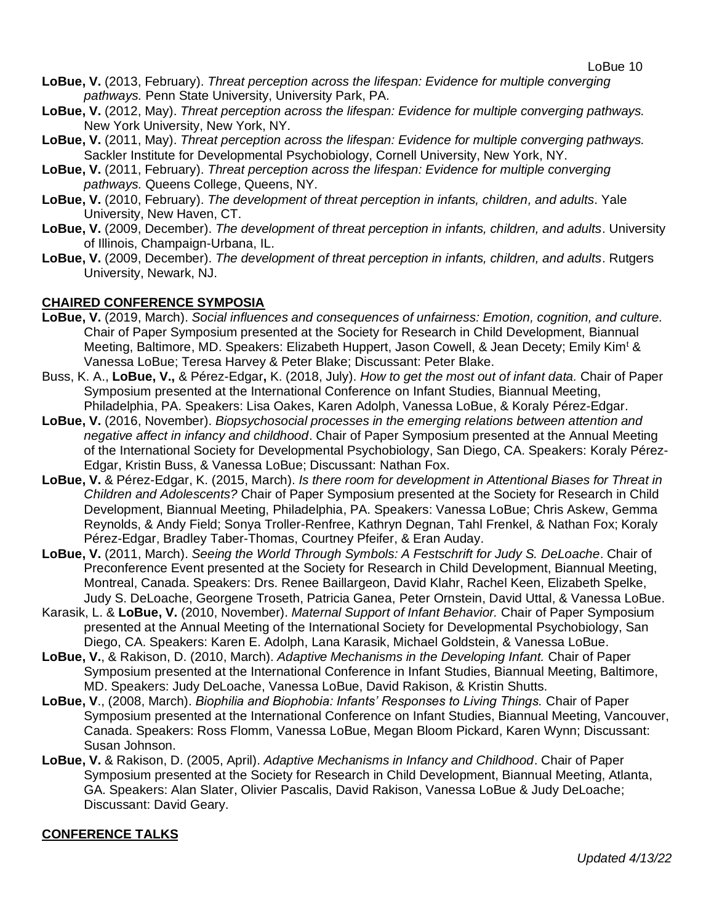- **LoBue, V.** (2013, February). *Threat perception across the lifespan: Evidence for multiple converging pathways.* Penn State University, University Park, PA.
- **LoBue, V.** (2012, May). *Threat perception across the lifespan: Evidence for multiple converging pathways.*  New York University, New York, NY.
- **LoBue, V.** (2011, May). *Threat perception across the lifespan: Evidence for multiple converging pathways.* Sackler Institute for Developmental Psychobiology, Cornell University, New York, NY.
- **LoBue, V.** (2011, February). *Threat perception across the lifespan: Evidence for multiple converging pathways.* Queens College, Queens, NY.
- **LoBue, V.** (2010, February). *The development of threat perception in infants, children, and adults*. Yale University, New Haven, CT.
- **LoBue, V.** (2009, December). *The development of threat perception in infants, children, and adults*. University of Illinois, Champaign-Urbana, IL.
- **LoBue, V.** (2009, December). *The development of threat perception in infants, children, and adults*. Rutgers University, Newark, NJ.

### **CHAIRED CONFERENCE SYMPOSIA**

- **LoBue, V.** (2019, March). *Social influences and consequences of unfairness: Emotion, cognition, and culture.*  Chair of Paper Symposium presented at the Society for Research in Child Development, Biannual Meeting, Baltimore, MD. Speakers: Elizabeth Huppert, Jason Cowell, & Jean Decety; Emily Kim<sup>t</sup> & Vanessa LoBue; Teresa Harvey & Peter Blake; Discussant: Peter Blake.
- Buss, K. A., **LoBue, V.,** & Pérez-Edgar**,** K. (2018, July). *How to get the most out of infant data.* Chair of Paper Symposium presented at the International Conference on Infant Studies, Biannual Meeting, Philadelphia, PA. Speakers: Lisa Oakes, Karen Adolph, Vanessa LoBue, & Koraly Pérez-Edgar.
- **LoBue, V.** (2016, November). *Biopsychosocial processes in the emerging relations between attention and negative affect in infancy and childhood*. Chair of Paper Symposium presented at the Annual Meeting of the International Society for Developmental Psychobiology, San Diego, CA. Speakers: Koraly Pérez-Edgar, Kristin Buss, & Vanessa LoBue; Discussant: Nathan Fox.
- **LoBue, V.** & Pérez-Edgar, K. (2015, March). *Is there room for development in Attentional Biases for Threat in Children and Adolescents?* Chair of Paper Symposium presented at the Society for Research in Child Development, Biannual Meeting, Philadelphia, PA. Speakers: Vanessa LoBue; Chris Askew, Gemma Reynolds, & Andy Field; Sonya Troller-Renfree, Kathryn Degnan, Tahl Frenkel, & Nathan Fox; Koraly Pérez-Edgar, Bradley Taber-Thomas, Courtney Pfeifer, & Eran Auday.
- **LoBue, V.** (2011, March). *Seeing the World Through Symbols: A Festschrift for Judy S. DeLoache*. Chair of Preconference Event presented at the Society for Research in Child Development, Biannual Meeting, Montreal, Canada. Speakers: Drs. Renee Baillargeon, David Klahr, Rachel Keen, Elizabeth Spelke, Judy S. DeLoache, Georgene Troseth, Patricia Ganea, Peter Ornstein, David Uttal, & Vanessa LoBue.
- Karasik, L. & **LoBue, V.** (2010, November). *Maternal Support of Infant Behavior.* Chair of Paper Symposium presented at the Annual Meeting of the International Society for Developmental Psychobiology, San Diego, CA. Speakers: Karen E. Adolph, Lana Karasik, Michael Goldstein, & Vanessa LoBue.
- **LoBue, V.**, & Rakison, D. (2010, March). *Adaptive Mechanisms in the Developing Infant.* Chair of Paper Symposium presented at the International Conference in Infant Studies, Biannual Meeting, Baltimore, MD. Speakers: Judy DeLoache, Vanessa LoBue, David Rakison, & Kristin Shutts.
- **LoBue, V**., (2008, March). *Biophilia and Biophobia: Infants' Responses to Living Things.* Chair of Paper Symposium presented at the International Conference on Infant Studies, Biannual Meeting, Vancouver, Canada. Speakers: Ross Flomm, Vanessa LoBue, Megan Bloom Pickard, Karen Wynn; Discussant: Susan Johnson.
- **LoBue, V.** & Rakison, D. (2005, April). *Adaptive Mechanisms in Infancy and Childhood*. Chair of Paper Symposium presented at the Society for Research in Child Development, Biannual Meeting, Atlanta, GA. Speakers: Alan Slater, Olivier Pascalis, David Rakison, Vanessa LoBue & Judy DeLoache; Discussant: David Geary.

#### **CONFERENCE TALKS**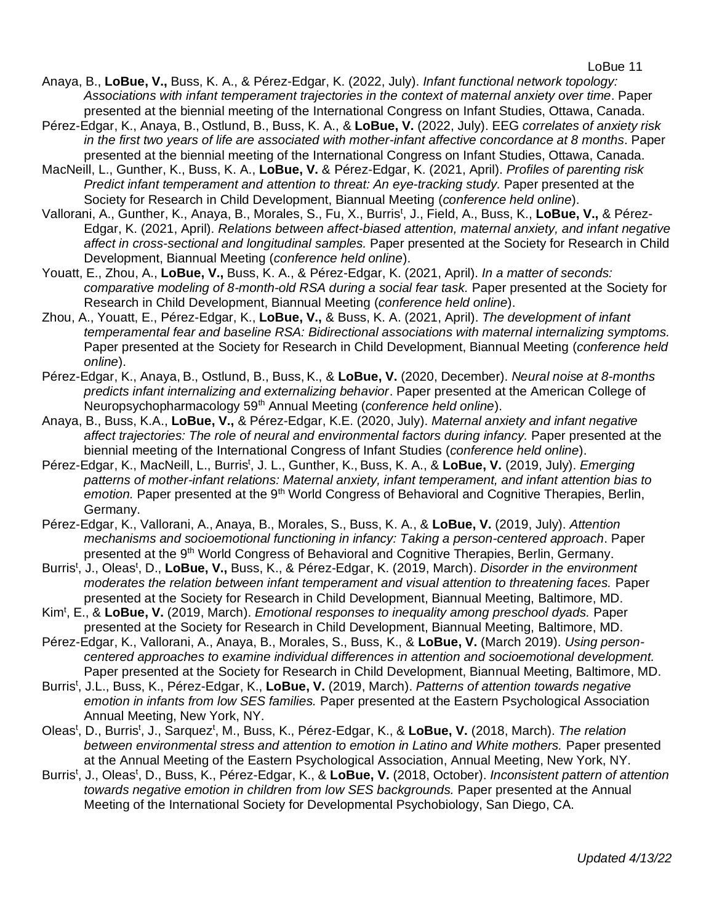- Anaya, B., **LoBue, V.,** Buss, K. A., & Pérez-Edgar, K. (2022, July). *Infant functional network topology: Associations with infant temperament trajectories in the context of maternal anxiety over time*. Paper presented at the biennial meeting of the International Congress on Infant Studies, Ottawa, Canada.
- Pérez-Edgar, K., Anaya, B., Ostlund, B., Buss, K. A., & **LoBue, V.** (2022, July). EEG *correlates of anxiety risk in the first two years of life are associated with mother-infant affective concordance at 8 months*. Paper presented at the biennial meeting of the International Congress on Infant Studies, Ottawa, Canada.
- MacNeill, L., Gunther, K., Buss, K. A., **LoBue, V.** & Pérez-Edgar, K. (2021, April). *Profiles of parenting risk Predict infant temperament and attention to threat: An eye-tracking study.* Paper presented at the Society for Research in Child Development, Biannual Meeting (*conference held online*).
- Vallorani, A., Gunther, K., Anaya, B., Morales, S., Fu, X., Burris<sup>t</sup>, J., Field, A., Buss, K., LoBue, V., & Pérez-Edgar, K. (2021, April). *Relations between affect-biased attention, maternal anxiety, and infant negative affect in cross-sectional and longitudinal samples.* Paper presented at the Society for Research in Child Development, Biannual Meeting (*conference held online*).
- Youatt, E., Zhou, A., **LoBue, V.,** Buss, K. A., & Pérez-Edgar, K. (2021, April). *In a matter of seconds: comparative modeling of 8-month-old RSA during a social fear task.* Paper presented at the Society for Research in Child Development, Biannual Meeting (*conference held online*).
- Zhou, A., Youatt, E., Pérez-Edgar, K., **LoBue, V.,** & Buss, K. A. (2021, April). *The development of infant temperamental fear and baseline RSA: Bidirectional associations with maternal internalizing symptoms.* Paper presented at the Society for Research in Child Development, Biannual Meeting (*conference held online*).
- Pérez-Edgar, K., Anaya, B., Ostlund, B., Buss, K., & **LoBue, V.** (2020, December). *Neural noise at 8-months predicts infant internalizing and externalizing behavior*. Paper presented at the American College of Neuropsychopharmacology 59th Annual Meeting (*conference held online*).
- Anaya, B., Buss, K.A., **LoBue, V.,** & Pérez-Edgar, K.E. (2020, July). *Maternal anxiety and infant negative affect trajectories: The role of neural and environmental factors during infancy.* Paper presented at the biennial meeting of the International Congress of Infant Studies (*conference held online*).
- Pérez-Edgar, K., MacNeill, L., Burris<sup>t</sup>, J. L., Gunther, K., Buss, K. A., & LoBue, V. (2019, July). *Emerging patterns of mother-infant relations: Maternal anxiety, infant temperament, and infant attention bias to*  emotion. Paper presented at the 9<sup>th</sup> World Congress of Behavioral and Cognitive Therapies, Berlin, Germany.
- Pérez-Edgar, K., Vallorani, A., Anaya, B., Morales, S., Buss, K. A., & **LoBue, V.** (2019, July). *Attention mechanisms and socioemotional functioning in infancy: Taking a person-centered approach*. Paper presented at the 9<sup>th</sup> World Congress of Behavioral and Cognitive Therapies, Berlin, Germany.
- Burris<sup>t</sup>, J., Oleas<sup>t</sup>, D., LoBue, V., Buss, K., & Pérez-Edgar, K. (2019, March). *Disorder in the environment moderates the relation between infant temperament and visual attention to threatening faces.* Paper presented at the Society for Research in Child Development, Biannual Meeting, Baltimore, MD.
- Kim<sup>t</sup> , E., & **LoBue, V.** (2019, March). *Emotional responses to inequality among preschool dyads.* Paper presented at the Society for Research in Child Development, Biannual Meeting, Baltimore, MD.
- Pérez-Edgar, K., Vallorani, A., Anaya, B., Morales, S., Buss, K., & **LoBue, V.** (March 2019). *Using personcentered approaches to examine individual differences in attention and socioemotional development.*  Paper presented at the Society for Research in Child Development, Biannual Meeting, Baltimore, MD.
- Burris<sup>t</sup>, J.L., Buss, K., Pérez-Edgar, K., LoBue, V. (2019, March). *Patterns of attention towards negative emotion in infants from low SES families.* Paper presented at the Eastern Psychological Association Annual Meeting, New York, NY.
- Oleas<sup>t</sup>, D., Burris<sup>t</sup>, J., Sarquez<sup>t</sup>, M., Buss, K., Pérez-Edgar, K., & LoBue, V. (2018, March). *The relation between environmental stress and attention to emotion in Latino and White mothers.* Paper presented at the Annual Meeting of the Eastern Psychological Association, Annual Meeting, New York, NY.
- Burris<sup>t</sup>, J., Oleas<sup>t</sup>, D., Buss, K., Pérez-Edgar, K., & LoBue, V. (2018, October). *Inconsistent pattern of attention towards negative emotion in children from low SES backgrounds.* Paper presented at the Annual Meeting of the International Society for Developmental Psychobiology, San Diego, CA.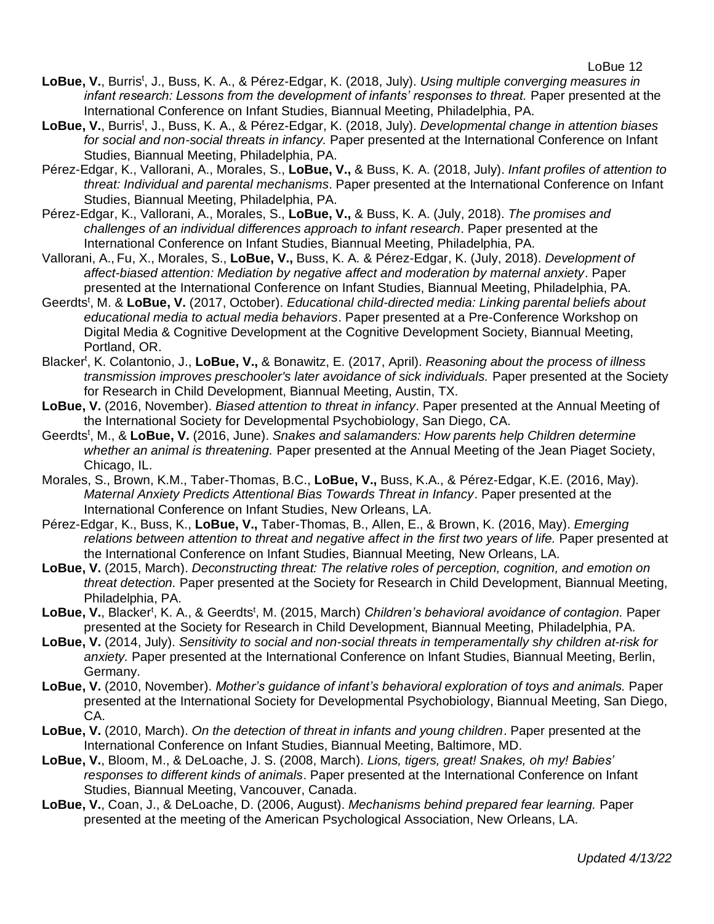- LoBue, V., Burris<sup>t</sup>, J., Buss, K. A., & Pérez-Edgar, K. (2018, July). *Using multiple converging measures in infant research: Lessons from the development of infants' responses to threat.* Paper presented at the International Conference on Infant Studies, Biannual Meeting, Philadelphia, PA.
- LoBue, V., Burris<sup>t</sup>, J., Buss, K. A., & Pérez-Edgar, K. (2018, July). *Developmental change in attention biases for social and non-social threats in infancy.* Paper presented at the International Conference on Infant Studies, Biannual Meeting, Philadelphia, PA.
- Pérez-Edgar, K., Vallorani, A., Morales, S., **LoBue, V.,** & Buss, K. A. (2018, July). *Infant profiles of attention to threat: Individual and parental mechanisms*. Paper presented at the International Conference on Infant Studies, Biannual Meeting, Philadelphia, PA.
- Pérez-Edgar, K., Vallorani, A., Morales, S., **LoBue, V.,** & Buss, K. A. (July, 2018). *The promises and challenges of an individual differences approach to infant research*. Paper presented at the International Conference on Infant Studies, Biannual Meeting, Philadelphia, PA.
- Vallorani, A., Fu, X., Morales, S., **LoBue, V.,** Buss, K. A. & Pérez-Edgar, K. (July, 2018). *Development of affect-biased attention: Mediation by negative affect and moderation by maternal anxiety*. Paper presented at the International Conference on Infant Studies, Biannual Meeting, Philadelphia, PA.
- Geerdts<sup>t</sup>, M. & LoBue, V. (2017, October). *Educational child-directed media: Linking parental beliefs about educational media to actual media behaviors*. Paper presented at a Pre-Conference Workshop on Digital Media & Cognitive Development at the Cognitive Development Society, Biannual Meeting, Portland, OR.
- Blacker<sup>t</sup>, K. Colantonio, J., LoBue, V., & Bonawitz, E. (2017, April). *Reasoning about the process of illness transmission improves preschooler's later avoidance of sick individuals.* Paper presented at the Society for Research in Child Development, Biannual Meeting, Austin, TX.
- **LoBue, V.** (2016, November). *Biased attention to threat in infancy*. Paper presented at the Annual Meeting of the International Society for Developmental Psychobiology, San Diego, CA.
- Geerdts<sup>t</sup>, M., & LoBue, V. (2016, June). *Snakes and salamanders: How parents help Children determine whether an animal is threatening.* Paper presented at the Annual Meeting of the Jean Piaget Society, Chicago, IL.
- Morales, S., Brown, K.M., Taber-Thomas, B.C., **LoBue, V.,** Buss, K.A., & Pérez-Edgar, K.E. (2016, May). *Maternal Anxiety Predicts Attentional Bias Towards Threat in Infancy*. Paper presented at the International Conference on Infant Studies, New Orleans, LA.
- Pérez-Edgar, K., Buss, K., **LoBue, V.,** Taber-Thomas, B., Allen, E., & Brown, K. (2016, May). *Emerging relations between attention to threat and negative affect in the first two years of life.* Paper presented at the International Conference on Infant Studies, Biannual Meeting, New Orleans, LA.
- **LoBue, V.** (2015, March). *Deconstructing threat: The relative roles of perception, cognition, and emotion on threat detection.* Paper presented at the Society for Research in Child Development, Biannual Meeting, Philadelphia, PA.
- LoBue, V., Blacker<sup>t</sup>, K. A., & Geerdts<sup>t</sup>, M. (2015, March) *Children's behavioral avoidance of contagion.* Paper presented at the Society for Research in Child Development, Biannual Meeting, Philadelphia, PA.
- **LoBue, V.** (2014, July). *Sensitivity to social and non-social threats in temperamentally shy children at-risk for anxiety.* Paper presented at the International Conference on Infant Studies, Biannual Meeting, Berlin, Germany.
- **LoBue, V.** (2010, November). *Mother's guidance of infant's behavioral exploration of toys and animals.* Paper presented at the International Society for Developmental Psychobiology, Biannual Meeting, San Diego, CA.
- **LoBue, V.** (2010, March). *On the detection of threat in infants and young children*. Paper presented at the International Conference on Infant Studies, Biannual Meeting, Baltimore, MD.
- **LoBue, V.**, Bloom, M., & DeLoache, J. S. (2008, March). *Lions, tigers, great! Snakes, oh my! Babies' responses to different kinds of animals*. Paper presented at the International Conference on Infant Studies, Biannual Meeting, Vancouver, Canada.
- **LoBue, V.**, Coan, J., & DeLoache, D. (2006, August). *Mechanisms behind prepared fear learning.* Paper presented at the meeting of the American Psychological Association, New Orleans, LA.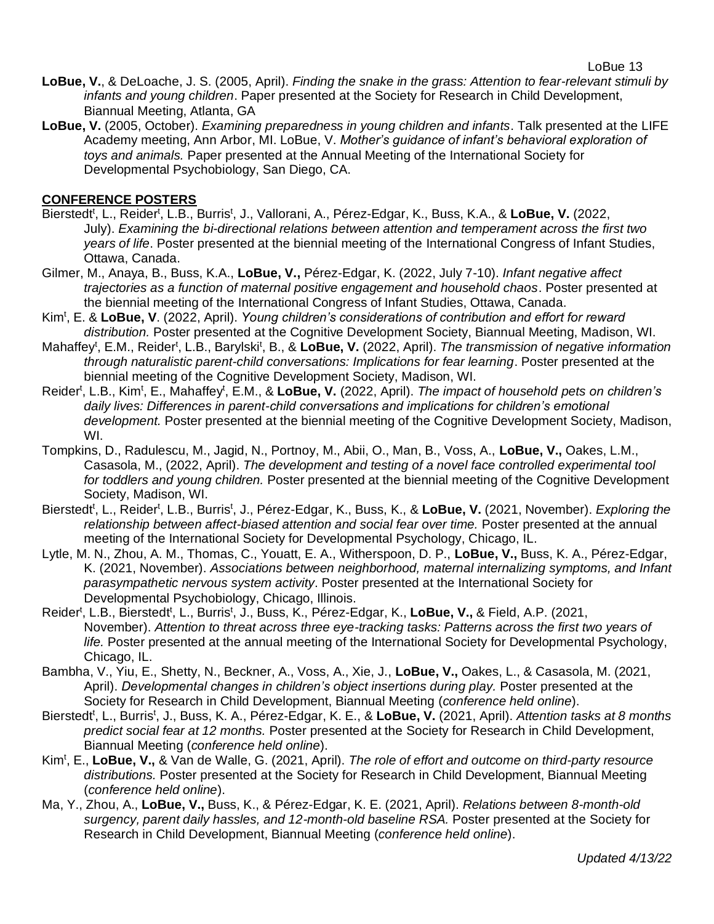- **LoBue, V.**, & DeLoache, J. S. (2005, April). *Finding the snake in the grass: Attention to fear-relevant stimuli by infants and young children*. Paper presented at the Society for Research in Child Development, Biannual Meeting, Atlanta, GA
- **LoBue, V.** (2005, October). *Examining preparedness in young children and infants*. Talk presented at the LIFE Academy meeting, Ann Arbor, MI. LoBue, V. *Mother's guidance of infant's behavioral exploration of toys and animals.* Paper presented at the Annual Meeting of the International Society for Developmental Psychobiology, San Diego, CA.

## **CONFERENCE POSTERS**

- Bierstedt<sup>t</sup>, L., Reider<sup>t</sup>, L.B., Burris<sup>t</sup>, J., Vallorani, A., Pérez-Edgar, K., Buss, K.A., & LoBue, V. (2022, July). *Examining the bi-directional relations between attention and temperament across the first two years of life*. Poster presented at the biennial meeting of the International Congress of Infant Studies, Ottawa, Canada.
- Gilmer, M., Anaya, B., Buss, K.A., **LoBue, V.,** Pérez-Edgar, K. (2022, July 7-10). *Infant negative affect trajectories as a function of maternal positive engagement and household chaos*. Poster presented at the biennial meeting of the International Congress of Infant Studies, Ottawa, Canada.
- Kim<sup>t</sup> , E. & **LoBue, V**. (2022, April). *Young children's considerations of contribution and effort for reward distribution.* Poster presented at the Cognitive Development Society, Biannual Meeting, Madison, WI.
- Mahaffey<sup>t</sup>, E.M., Reider<sup>t</sup>, L.B., Barylski<sup>t</sup>, B., & LoBue, V. (2022, April). *The transmission of negative information through naturalistic parent-child conversations: Implications for fear learning*. Poster presented at the biennial meeting of the Cognitive Development Society, Madison, WI.
- Reider<sup>t</sup>, L.B., Kim<sup>t</sup>, E., Mahaffey<sup>t</sup>, E.M., & LoBue, V. (2022, April). *The impact of household pets on children's daily lives: Differences in parent-child conversations and implications for children's emotional development.* Poster presented at the biennial meeting of the Cognitive Development Society, Madison, WI.
- Tompkins, D., Radulescu, M., Jagid, N., Portnoy, M., Abii, O., Man, B., Voss, A., **LoBue, V.,** Oakes, L.M., Casasola, M., (2022, April). *The development and testing of a novel face controlled experimental tool for toddlers and young children.* Poster presented at the biennial meeting of the Cognitive Development Society, Madison, WI.
- Bierstedt<sup>t</sup>, L., Reider<sup>t</sup>, L.B., Burris<sup>t</sup>, J., Pérez-Edgar, K., Buss, K., & LoBue, V. (2021, November). *Exploring the relationship between affect-biased attention and social fear over time.* Poster presented at the annual meeting of the International Society for Developmental Psychology, Chicago, IL.
- Lytle, M. N., Zhou, A. M., Thomas, C., Youatt, E. A., Witherspoon, D. P., **LoBue, V.,** Buss, K. A., Pérez-Edgar, K. (2021, November). *Associations between neighborhood, maternal internalizing symptoms, and Infant parasympathetic nervous system activity*. Poster presented at the International Society for Developmental Psychobiology, Chicago, Illinois.
- Reider<sup>t</sup>, L.B., Bierstedt<sup>t</sup>, L., Burris<sup>t</sup>, J., Buss, K., Pérez-Edgar, K., LoBue, V., & Field, A.P. (2021, November). *Attention to threat across three eye-tracking tasks: Patterns across the first two years of life.* Poster presented at the annual meeting of the International Society for Developmental Psychology, Chicago, IL.
- Bambha, V., Yiu, E., Shetty, N., Beckner, A., Voss, A., Xie, J., **LoBue, V.,** Oakes, L., & Casasola, M. (2021, April). *Developmental changes in children's object insertions during play.* Poster presented at the Society for Research in Child Development, Biannual Meeting (*conference held online*).
- Bierstedt<sup>t</sup>, L., Burris<sup>t</sup>, J., Buss, K. A., Pérez-Edgar, K. E., & LoBue, V. (2021, April). *Attention tasks at 8 months predict social fear at 12 months.* Poster presented at the Society for Research in Child Development, Biannual Meeting (*conference held online*).
- Kim<sup>t</sup> , E., **LoBue, V.,** & Van de Walle, G. (2021, April). *The role of effort and outcome on third-party resource distributions.* Poster presented at the Society for Research in Child Development, Biannual Meeting (*conference held online*).
- Ma, Y., Zhou, A., **LoBue, V.,** Buss, K., & Pérez-Edgar, K. E. (2021, April). *Relations between 8-month-old surgency, parent daily hassles, and 12-month-old baseline RSA.* Poster presented at the Society for Research in Child Development, Biannual Meeting (*conference held online*).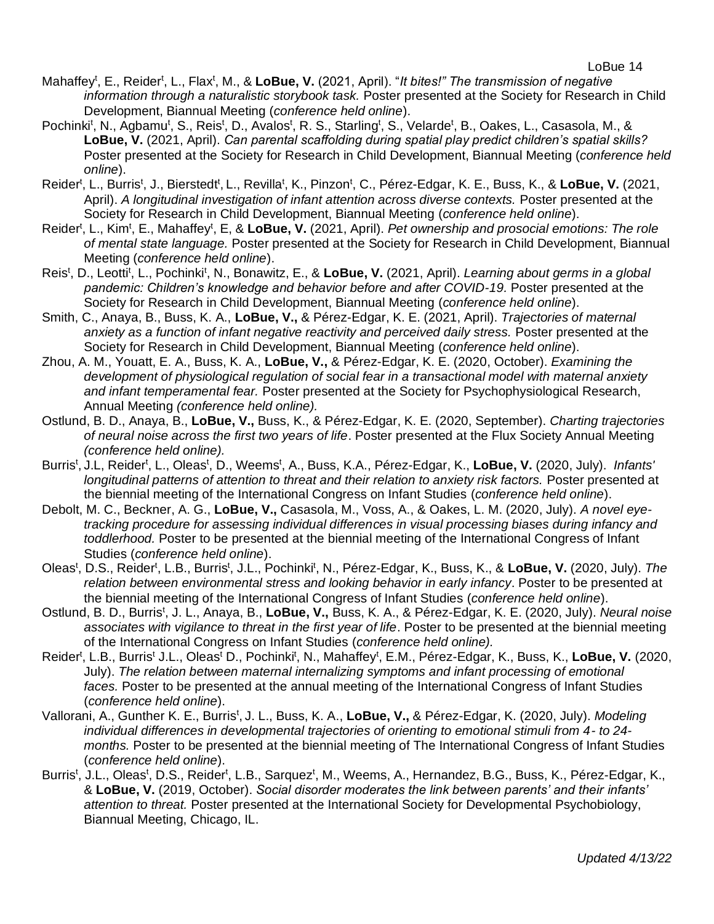- Mahaffey<sup>t</sup>, E., Reider<sup>t</sup>, L., Flax<sup>t</sup>, M., & LoBue, V. (2021, April). "*It bites!" The transmission of negative information through a naturalistic storybook task.* Poster presented at the Society for Research in Child Development, Biannual Meeting (*conference held online*).
- Pochinki<sup>t</sup>, N., Agbamu<sup>t</sup>, S., Reis<sup>t</sup>, D., Avalos<sup>t</sup>, R. S., Starling<sup>t</sup>, S., Velarde<sup>t</sup>, B., Oakes, L., Casasola, M., & **LoBue, V.** (2021, April). *Can parental scaffolding during spatial play predict children's spatial skills?* Poster presented at the Society for Research in Child Development, Biannual Meeting (*conference held online*).
- Reider<sup>t</sup>, L., Burris<sup>t</sup>, J., Bierstedt<sup>t</sup>, L., Revilla<sup>t</sup>, K., Pinzon<sup>t</sup>, C., Pérez-Edgar, K. E., Buss, K., & LoBue, V. (2021, April). *A longitudinal investigation of infant attention across diverse contexts.* Poster presented at the Society for Research in Child Development, Biannual Meeting (*conference held online*).
- Reider<sup>t</sup>, L., Kim<sup>t</sup>, E., Mahaffey<sup>t</sup>, E, & LoBue, V. (2021, April). *Pet ownership and prosocial emotions: The role of mental state language.* Poster presented at the Society for Research in Child Development, Biannual Meeting (*conference held online*).
- Reis<sup>t</sup>, D., Leotti<sup>t</sup>, L., Pochinki<sup>t</sup>, N., Bonawitz, E., & LoBue, V. (2021, April). *Learning about germs in a global pandemic: Children's knowledge and behavior before and after COVID-19.* Poster presented at the Society for Research in Child Development, Biannual Meeting (*conference held online*).
- Smith, C., Anaya, B., Buss, K. A., **LoBue, V.,** & Pérez-Edgar, K. E. (2021, April). *Trajectories of maternal anxiety as a function of infant negative reactivity and perceived daily stress.* Poster presented at the Society for Research in Child Development, Biannual Meeting (*conference held online*).
- Zhou, A. M., Youatt, E. A., Buss, K. A., **LoBue, V.,** & Pérez-Edgar, K. E. (2020, October). *Examining the development of physiological regulation of social fear in a transactional model with maternal anxiety and infant temperamental fear.* Poster presented at the Society for Psychophysiological Research, Annual Meeting *(conference held online).*
- Ostlund, B. D., Anaya, B., **LoBue, V.,** Buss, K., & Pérez-Edgar, K. E. (2020, September). *Charting trajectories of neural noise across the first two years of life*. Poster presented at the Flux Society Annual Meeting *(conference held online).*
- Burris<sup>t</sup>, J.L, Reider<sup>t</sup>, L., Oleas<sup>t</sup>, D., Weems<sup>t</sup>, A., Buss, K.A., Pérez-Edgar, K., **LoBue, V.** (2020, July). *Infants' longitudinal patterns of attention to threat and their relation to anxiety risk factors.* Poster presented at the biennial meeting of the International Congress on Infant Studies (*conference held online*).
- Debolt, M. C., Beckner, A. G., **LoBue, V.,** Casasola, M., Voss, A., & Oakes, L. M. (2020, July). *A novel eyetracking procedure for assessing individual differences in visual processing biases during infancy and toddlerhood.* Poster to be presented at the biennial meeting of the International Congress of Infant Studies (*conference held online*).
- Oleas<sup>t</sup>, D.S., Reider<sup>t</sup>, L.B., Burris<sup>t</sup>, J.L., Pochinki<sup>t</sup>, N., Pérez-Edgar, K., Buss, K., & LoBue, V. (2020, July). The *relation between environmental stress and looking behavior in early infancy*. Poster to be presented at the biennial meeting of the International Congress of Infant Studies (*conference held online*).
- Ostlund, B. D., Burris<sup>t</sup>, J. L., Anaya, B., LoBue, V., Buss, K. A., & Pérez-Edgar, K. E. (2020, July). *Neural noise associates with vigilance to threat in the first year of life*. Poster to be presented at the biennial meeting of the International Congress on Infant Studies (*conference held online).*
- Reider<sup>t</sup>, L.B., Burris<sup>t</sup> J.L., Oleas<sup>t</sup> D., Pochinki<sup>t</sup>, N., Mahaffey<sup>t</sup>, E.M., Pérez-Edgar, K., Buss, K., LoBue, V. (2020, July). *The relation between maternal internalizing symptoms and infant processing of emotional faces.* Poster to be presented at the annual meeting of the International Congress of Infant Studies (*conference held online*).
- Vallorani, A., Gunther K. E., Burris<sup>t</sup>, J. L., Buss, K. A., LoBue, V., & Pérez-Edgar, K. (2020, July). *Modeling individual differences in developmental trajectories of orienting to emotional stimuli from 4- to 24 months.* Poster to be presented at the biennial meeting of The International Congress of Infant Studies (*conference held online*).
- Burris<sup>t</sup>, J.L., Oleas<sup>t</sup>, D.S., Reider<sup>t</sup>, L.B., Sarquez<sup>t</sup>, M., Weems, A., Hernandez, B.G., Buss, K., Pérez-Edgar, K., & **LoBue, V.** (2019, October). *Social disorder moderates the link between parents' and their infants' attention to threat.* Poster presented at the International Society for Developmental Psychobiology, Biannual Meeting, Chicago, IL.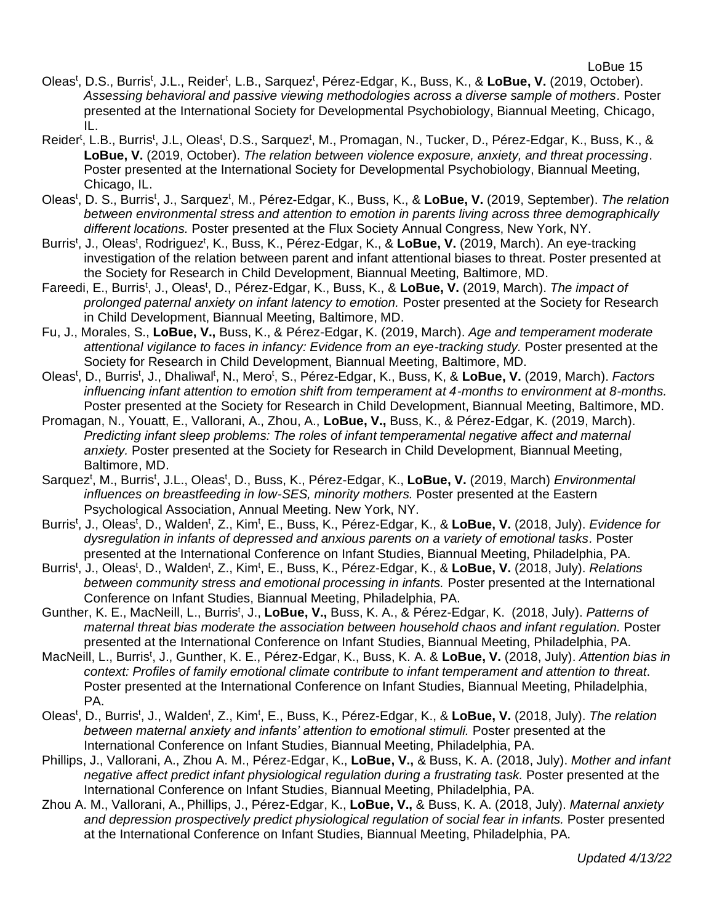- Oleas<sup>t</sup>, D.S., Burris<sup>t</sup>, J.L., Reider<sup>t</sup>, L.B., Sarquez<sup>t</sup>, Pérez-Edgar, K., Buss, K., & LoBue, V. (2019, October). *Assessing behavioral and passive viewing methodologies across a diverse sample of mothers.* Poster presented at the International Society for Developmental Psychobiology, Biannual Meeting, Chicago, IL.
- Reider<sup>t</sup>, L.B., Burris<sup>t</sup>, J.L, Oleas<sup>t</sup>, D.S., Sarquez<sup>t</sup>, M., Promagan, N., Tucker, D., Pérez-Edgar, K., Buss, K., & **LoBue, V.** (2019, October). *The relation between violence exposure, anxiety, and threat processing*. Poster presented at the International Society for Developmental Psychobiology, Biannual Meeting, Chicago, IL.
- Oleas<sup>t</sup>, D. S., Burris<sup>t</sup>, J., Sarquez<sup>t</sup>, M., Pérez-Edgar, K., Buss, K., & LoBue, V. (2019, September). *The relation between environmental stress and attention to emotion in parents living across three demographically different locations.* Poster presented at the Flux Society Annual Congress, New York, NY.
- Burris<sup>t</sup>, J., Oleas<sup>t</sup>, Rodriguez<sup>t</sup>, K., Buss, K., Pérez-Edgar, K., & LoBue, V. (2019, March). An eye-tracking investigation of the relation between parent and infant attentional biases to threat. Poster presented at the Society for Research in Child Development, Biannual Meeting, Baltimore, MD.
- Fareedi, E., Burris<sup>t</sup>, J., Oleas<sup>t</sup>, D., Pérez-Edgar, K., Buss, K., & LoBue, V. (2019, March). *The impact of prolonged paternal anxiety on infant latency to emotion.* Poster presented at the Society for Research in Child Development, Biannual Meeting, Baltimore, MD.
- Fu, J., Morales, S., **LoBue, V.,** Buss, K., & Pérez-Edgar, K. (2019, March). *Age and temperament moderate*  attentional vigilance to faces in infancy: Evidence from an eye-tracking study. Poster presented at the Society for Research in Child Development, Biannual Meeting, Baltimore, MD.
- Oleas<sup>t</sup>, D., Burris<sup>t</sup>, J., Dhaliwal<sup>t</sup>, N., Mero<sup>t</sup>, S., Pérez-Edgar, K., Buss, K, & LoBue, V. (2019, March). *Factors influencing infant attention to emotion shift from temperament at 4-months to environment at 8-months.* Poster presented at the Society for Research in Child Development, Biannual Meeting, Baltimore, MD.
- Promagan, N., Youatt, E., Vallorani, A., Zhou, A., **LoBue, V.,** Buss, K., & Pérez-Edgar, K. (2019, March). *Predicting infant sleep problems: The roles of infant temperamental negative affect and maternal anxiety.* Poster presented at the Society for Research in Child Development, Biannual Meeting, Baltimore, MD.
- Sarquez<sup>t</sup>, M., Burris<sup>t</sup>, J.L., Oleas<sup>t</sup>, D., Buss, K., Pérez-Edgar, K., LoBue, V. (2019, March) *Environmental influences on breastfeeding in low-SES, minority mothers.* Poster presented at the Eastern Psychological Association, Annual Meeting. New York, NY.
- Burris<sup>t</sup>, J., Oleas<sup>t</sup>, D., Walden<sup>t</sup>, Z., Kim<sup>t</sup>, E., Buss, K., Pérez-Edgar, K., & LoBue, V. (2018, July). *Evidence for dysregulation in infants of depressed and anxious parents on a variety of emotional tasks.* Poster presented at the International Conference on Infant Studies, Biannual Meeting, Philadelphia, PA.
- Burris<sup>t</sup>, J., Oleas<sup>t</sup>, D., Walden<sup>t</sup>, Z., Kim<sup>t</sup>, E., Buss, K., Pérez-Edgar, K., & LoBue, V. (2018, July). *Relations between community stress and emotional processing in infants.* Poster presented at the International Conference on Infant Studies, Biannual Meeting, Philadelphia, PA.
- Gunther, K. E., MacNeill, L., Burris<sup>t</sup>, J., LoBue, V., Buss, K. A., & Pérez-Edgar, K. (2018, July). Patterns of *maternal threat bias moderate the association between household chaos and infant regulation.* Poster presented at the International Conference on Infant Studies, Biannual Meeting, Philadelphia, PA.
- MacNeill, L., Burris<sup>t</sup>, J., Gunther, K. E., Pérez-Edgar, K., Buss, K. A. & LoBue, V. (2018, July). Attention bias in *context: Profiles of family emotional climate contribute to infant temperament and attention to threat*. Poster presented at the International Conference on Infant Studies, Biannual Meeting, Philadelphia, PA.
- Oleas<sup>t</sup>, D., Burris<sup>t</sup>, J., Walden<sup>t</sup>, Z., Kim<sup>t</sup>, E., Buss, K., Pérez-Edgar, K., & LoBue, V. (2018, July). *The relation between maternal anxiety and infants' attention to emotional stimuli.* Poster presented at the International Conference on Infant Studies, Biannual Meeting, Philadelphia, PA.
- Phillips, J., Vallorani, A., Zhou A. M., Pérez-Edgar, K., **LoBue, V.,** & Buss, K. A. (2018, July). *Mother and infant negative affect predict infant physiological regulation during a frustrating task.* Poster presented at the International Conference on Infant Studies, Biannual Meeting, Philadelphia, PA.
- Zhou A. M., Vallorani, A., Phillips, J., Pérez-Edgar, K., **LoBue, V.,** & Buss, K. A. (2018, July). *Maternal anxiety and depression prospectively predict physiological regulation of social fear in infants.* Poster presented at the International Conference on Infant Studies, Biannual Meeting, Philadelphia, PA.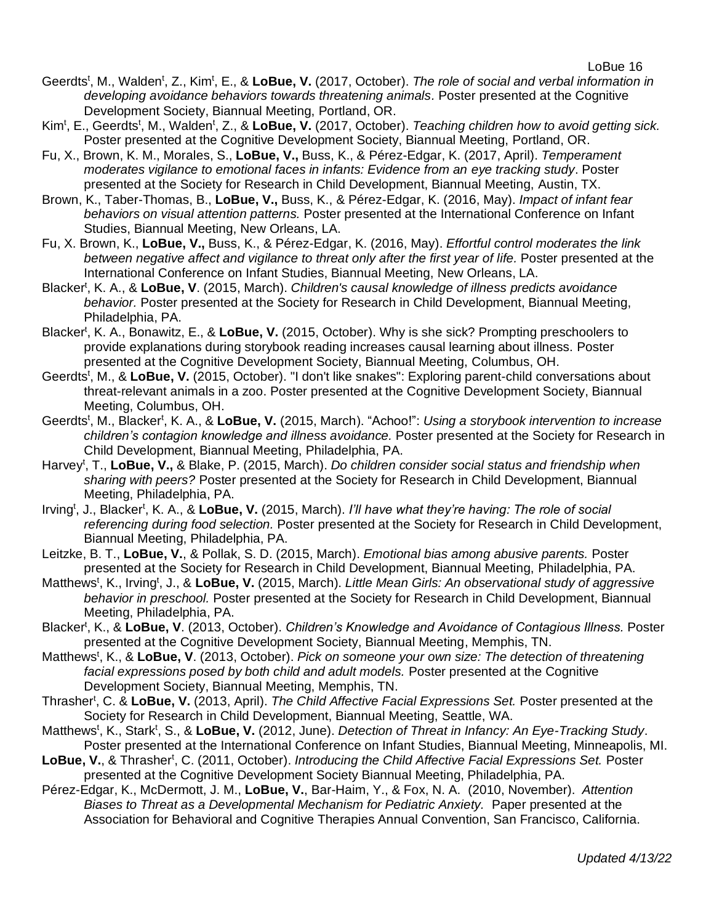- Geerdts<sup>t</sup>, M., Walden<sup>t</sup>, Z., Kim<sup>t</sup>, E., & LoBue, V. (2017, October). *The role of social and verbal information in developing avoidance behaviors towards threatening animals.* Poster presented at the Cognitive Development Society, Biannual Meeting, Portland, OR.
- Kim<sup>t</sup>, E., Geerdts<sup>t</sup>, M., Walden<sup>t</sup>, Z., & LoBue, V. (2017, October). *Teaching children how to avoid getting sick.* Poster presented at the Cognitive Development Society, Biannual Meeting, Portland, OR.
- Fu, X., Brown, K. M., Morales, S., **LoBue, V.,** Buss, K., & Pérez-Edgar, K. (2017, April). *Temperament moderates vigilance to emotional faces in infants: Evidence from an eye tracking study*. Poster presented at the Society for Research in Child Development, Biannual Meeting, Austin, TX.
- Brown, K., Taber-Thomas, B., **LoBue, V.,** Buss, K., & Pérez-Edgar, K. (2016, May). *Impact of infant fear behaviors on visual attention patterns.* Poster presented at the International Conference on Infant Studies, Biannual Meeting, New Orleans, LA.
- Fu, X. Brown, K., **LoBue, V.,** Buss, K., & Pérez-Edgar, K. (2016, May). *Effortful control moderates the link between negative affect and vigilance to threat only after the first year of life.* Poster presented at the International Conference on Infant Studies, Biannual Meeting, New Orleans, LA.
- Blacker<sup>t</sup>, K. A., & LoBue, V. (2015, March). *Children's causal knowledge of illness predicts avoidance behavior.* Poster presented at the Society for Research in Child Development, Biannual Meeting, Philadelphia, PA.
- Blacker<sup>t</sup>, K. A., Bonawitz, E., & LoBue, V. (2015, October). Why is she sick? Prompting preschoolers to provide explanations during storybook reading increases causal learning about illness. Poster presented at the Cognitive Development Society, Biannual Meeting, Columbus, OH.
- Geerdts<sup>t</sup>, M., & LoBue, V. (2015, October). "I don't like snakes": Exploring parent-child conversations about threat-relevant animals in a zoo. Poster presented at the Cognitive Development Society, Biannual Meeting, Columbus, OH.
- Geerdts<sup>t</sup>, M., Blacker<sup>t</sup>, K. A., & LoBue, V. (2015, March). "Achoo!": *Using a storybook intervention to increase children's contagion knowledge and illness avoidance.* Poster presented at the Society for Research in Child Development, Biannual Meeting, Philadelphia, PA.
- Harvey<sup>t</sup>, T., LoBue, V., & Blake, P. (2015, March). *Do children consider social status and friendship when sharing with peers?* Poster presented at the Society for Research in Child Development, Biannual Meeting, Philadelphia, PA.
- Irving<sup>t</sup>, J., Blacker<sup>t</sup>, K. A., & LoBue, V. (2015, March). *I'll have what they're having: The role of social referencing during food selection.* Poster presented at the Society for Research in Child Development, Biannual Meeting, Philadelphia, PA.
- Leitzke, B. T., **LoBue, V.**, & Pollak, S. D. (2015, March). *Emotional bias among abusive parents.* Poster presented at the Society for Research in Child Development, Biannual Meeting, Philadelphia, PA.
- Matthews<sup>t</sup>, K., Irving<sup>t</sup>, J., & LoBue, V. (2015, March). *Little Mean Girls: An observational study of aggressive behavior in preschool.* Poster presented at the Society for Research in Child Development, Biannual Meeting, Philadelphia, PA.
- Blacker<sup>t</sup>, K., & LoBue, V. (2013, October). *Children's Knowledge and Avoidance of Contagious Illness.* Poster presented at the Cognitive Development Society, Biannual Meeting, Memphis, TN.
- Matthews<sup>t</sup>, K., & LoBue, V. (2013, October). Pick on someone your own size: The detection of threatening *facial expressions posed by both child and adult models.* Poster presented at the Cognitive Development Society, Biannual Meeting, Memphis, TN.
- Thrasher<sup>t</sup>, C. & LoBue, V. (2013, April). *The Child Affective Facial Expressions Set.* Poster presented at the Society for Research in Child Development, Biannual Meeting, Seattle, WA.
- Matthews<sup>t</sup>, K., Stark<sup>t</sup>, S., & LoBue, V. (2012, June). *Detection of Threat in Infancy: An Eye-Tracking Study*. Poster presented at the International Conference on Infant Studies, Biannual Meeting, Minneapolis, MI.
- LoBue, V., & Thrasher<sup>t</sup>, C. (2011, October). *Introducing the Child Affective Facial Expressions Set.* Poster presented at the Cognitive Development Society Biannual Meeting, Philadelphia, PA.
- Pérez-Edgar, K., McDermott, J. M., **LoBue, V.**, Bar-Haim, Y., & Fox, N. A. (2010, November). *Attention Biases to Threat as a Developmental Mechanism for Pediatric Anxiety.* Paper presented at the Association for Behavioral and Cognitive Therapies Annual Convention, San Francisco, California.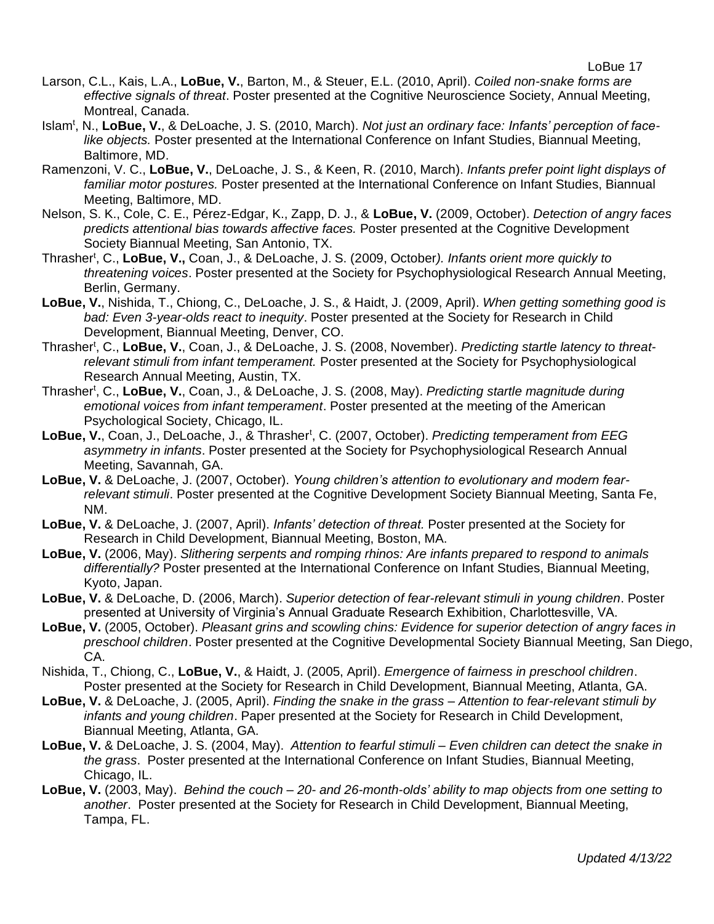- Larson, C.L., Kais, L.A., **LoBue, V.**, Barton, M., & Steuer, E.L. (2010, April). *Coiled non-snake forms are effective signals of threat*. Poster presented at the Cognitive Neuroscience Society, Annual Meeting, Montreal, Canada.
- Islam<sup>t</sup>, N., LoBue, V., & DeLoache, J. S. (2010, March). *Not just an ordinary face: Infants' perception of facelike objects.* Poster presented at the International Conference on Infant Studies, Biannual Meeting, Baltimore, MD.
- Ramenzoni, V. C., **LoBue, V.**, DeLoache, J. S., & Keen, R. (2010, March). *Infants prefer point light displays of familiar motor postures.* Poster presented at the International Conference on Infant Studies, Biannual Meeting, Baltimore, MD.
- Nelson, S. K., Cole, C. E., Pérez-Edgar, K., Zapp, D. J., & **LoBue, V.** (2009, October). *Detection of angry faces predicts attentional bias towards affective faces.* Poster presented at the Cognitive Development Society Biannual Meeting, San Antonio, TX.
- Thrasher<sup>t</sup>, C., LoBue, V., Coan, J., & DeLoache, J. S. (2009, October). Infants orient more quickly to *threatening voices*. Poster presented at the Society for Psychophysiological Research Annual Meeting, Berlin, Germany.
- **LoBue, V.**, Nishida, T., Chiong, C., DeLoache, J. S., & Haidt, J. (2009, April). *When getting something good is bad: Even 3-year-olds react to inequity*. Poster presented at the Society for Research in Child Development, Biannual Meeting, Denver, CO.
- Thrasher<sup>t</sup>, C., LoBue, V., Coan, J., & DeLoache, J. S. (2008, November). *Predicting startle latency to threatrelevant stimuli from infant temperament.* Poster presented at the Society for Psychophysiological Research Annual Meeting, Austin, TX.
- Thrasher<sup>t</sup> , C., **LoBue, V.**, Coan, J., & DeLoache, J. S. (2008, May). *Predicting startle magnitude during emotional voices from infant temperament*. Poster presented at the meeting of the American Psychological Society, Chicago, IL.
- LoBue, V., Coan, J., DeLoache, J., & Thrasher<sup>t</sup>, C. (2007, October). *Predicting temperament from EEG asymmetry in infants*. Poster presented at the Society for Psychophysiological Research Annual Meeting, Savannah, GA.
- **LoBue, V.** & DeLoache, J. (2007, October). *Young children's attention to evolutionary and modern fearrelevant stimuli*. Poster presented at the Cognitive Development Society Biannual Meeting, Santa Fe, NM.
- **LoBue, V.** & DeLoache, J. (2007, April). *Infants' detection of threat.* Poster presented at the Society for Research in Child Development, Biannual Meeting, Boston, MA.
- **LoBue, V.** (2006, May). *Slithering serpents and romping rhinos: Are infants prepared to respond to animals differentially?* Poster presented at the International Conference on Infant Studies, Biannual Meeting, Kyoto, Japan.
- **LoBue, V.** & DeLoache, D. (2006, March). *Superior detection of fear-relevant stimuli in young children*. Poster presented at University of Virginia's Annual Graduate Research Exhibition, Charlottesville, VA.
- **LoBue, V.** (2005, October). *Pleasant grins and scowling chins: Evidence for superior detection of angry faces in preschool children*. Poster presented at the Cognitive Developmental Society Biannual Meeting, San Diego, CA.
- Nishida, T., Chiong, C., **LoBue, V.**, & Haidt, J. (2005, April). *Emergence of fairness in preschool children*. Poster presented at the Society for Research in Child Development, Biannual Meeting, Atlanta, GA.
- **LoBue, V.** & DeLoache, J. (2005, April). *Finding the snake in the grass – Attention to fear-relevant stimuli by infants and young children*. Paper presented at the Society for Research in Child Development, Biannual Meeting, Atlanta, GA.
- **LoBue, V.** & DeLoache, J. S. (2004, May). *Attention to fearful stimuli – Even children can detect the snake in the grass*.Poster presented at the International Conference on Infant Studies, Biannual Meeting, Chicago, IL.
- **LoBue, V.** (2003, May). *Behind the couch – 20- and 26-month-olds' ability to map objects from one setting to another*.Poster presented at the Society for Research in Child Development, Biannual Meeting, Tampa, FL.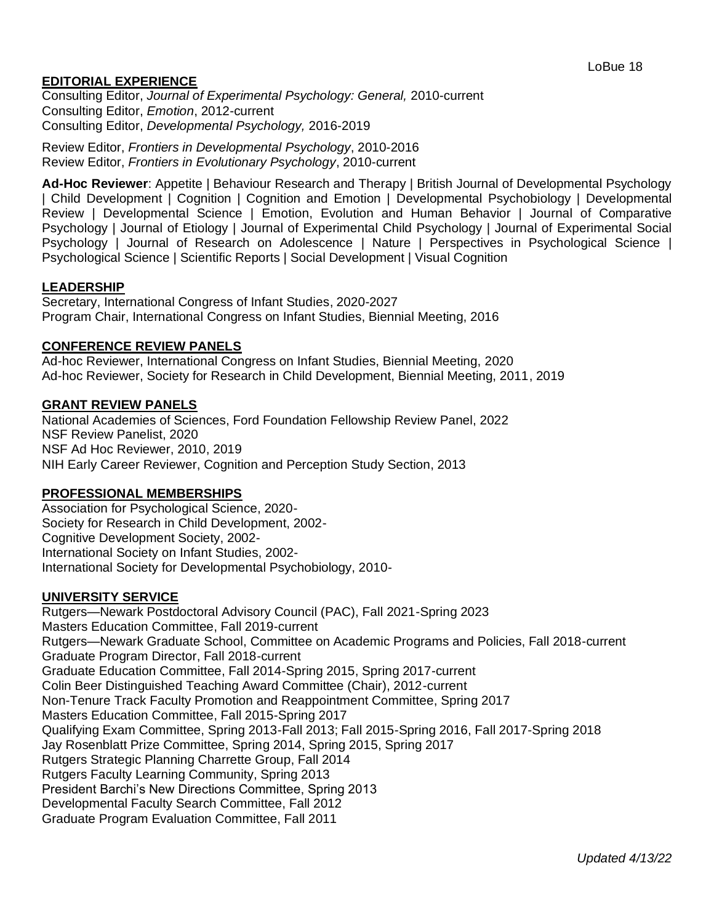# **EDITORIAL EXPERIENCE**

Consulting Editor, *Journal of Experimental Psychology: General,* 2010-current Consulting Editor, *Emotion*, 2012-current Consulting Editor, *Developmental Psychology,* 2016-2019

Review Editor, *Frontiers in Developmental Psychology*, 2010-2016 Review Editor, *Frontiers in Evolutionary Psychology*, 2010-current

**Ad-Hoc Reviewer**: Appetite | Behaviour Research and Therapy | British Journal of Developmental Psychology | Child Development | Cognition | Cognition and Emotion | Developmental Psychobiology | Developmental Review | Developmental Science | Emotion, Evolution and Human Behavior | Journal of Comparative Psychology | Journal of Etiology | Journal of Experimental Child Psychology | Journal of Experimental Social Psychology | Journal of Research on Adolescence | Nature | Perspectives in Psychological Science | Psychological Science | Scientific Reports | Social Development | Visual Cognition

### **LEADERSHIP**

Secretary, International Congress of Infant Studies, 2020-2027 Program Chair, International Congress on Infant Studies, Biennial Meeting, 2016

#### **CONFERENCE REVIEW PANELS**

Ad-hoc Reviewer, International Congress on Infant Studies, Biennial Meeting, 2020 Ad-hoc Reviewer, Society for Research in Child Development, Biennial Meeting, 2011, 2019

### **GRANT REVIEW PANELS**

National Academies of Sciences, Ford Foundation Fellowship Review Panel, 2022 NSF Review Panelist, 2020 NSF Ad Hoc Reviewer, 2010, 2019 NIH Early Career Reviewer, Cognition and Perception Study Section, 2013

### **PROFESSIONAL MEMBERSHIPS**

Association for Psychological Science, 2020- Society for Research in Child Development, 2002- Cognitive Development Society, 2002- International Society on Infant Studies, 2002- International Society for Developmental Psychobiology, 2010-

#### **UNIVERSITY SERVICE**

Rutgers—Newark Postdoctoral Advisory Council (PAC), Fall 2021-Spring 2023 Masters Education Committee, Fall 2019-current Rutgers—Newark Graduate School, Committee on Academic Programs and Policies, Fall 2018-current Graduate Program Director, Fall 2018-current Graduate Education Committee, Fall 2014-Spring 2015, Spring 2017-current Colin Beer Distinguished Teaching Award Committee (Chair), 2012-current Non-Tenure Track Faculty Promotion and Reappointment Committee, Spring 2017 Masters Education Committee, Fall 2015-Spring 2017 Qualifying Exam Committee, Spring 2013-Fall 2013; Fall 2015-Spring 2016, Fall 2017-Spring 2018 Jay Rosenblatt Prize Committee, Spring 2014, Spring 2015, Spring 2017 Rutgers Strategic Planning Charrette Group, Fall 2014 Rutgers Faculty Learning Community, Spring 2013 President Barchi's New Directions Committee, Spring 2013 Developmental Faculty Search Committee, Fall 2012 Graduate Program Evaluation Committee, Fall 2011